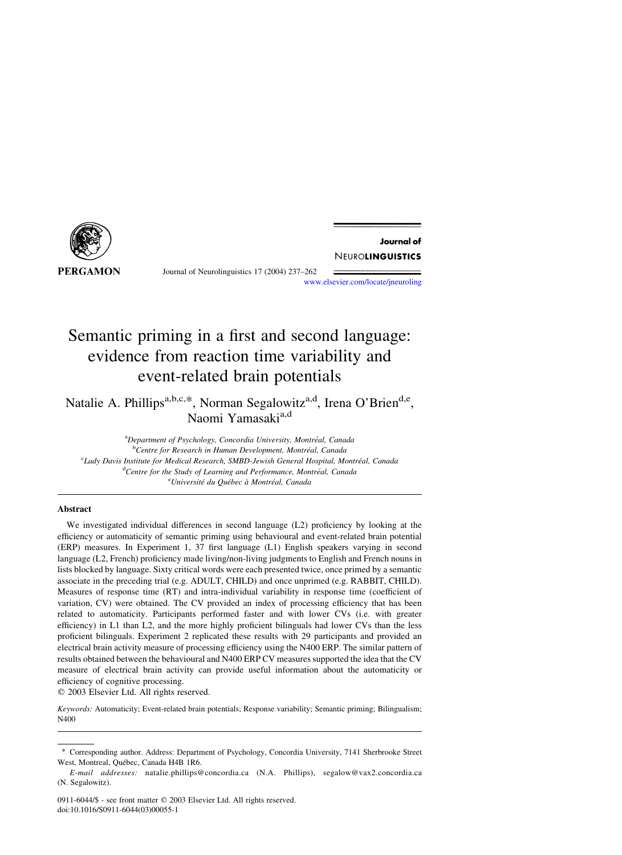

**Journal of** NEUROLINGUISTICS

Journal of Neurolinguistics 17 (2004) 237–262

[www.elsevier.com/locate/jneuroling](http://www.elsevier.com/locate/jneuroling)

# Semantic priming in a first and second language: evidence from reaction time variability and event-related brain potentials

Natalie A. Phillips<sup>a,b,c,\*</sup>, Norman Segalowitz<sup>a,d</sup>, Irena O'Brien<sup>d,e</sup>, Naomi Yamasaki<sup>a,d</sup>

<sup>a</sup>Department of Psychology, Concordia University, Montréal, Canada <sup>b</sup>Centre for Research in Human Development, Montréal, Canada <sup>c</sup>Lady Davis Institute for Medical Research, SMBD-Jewish General Hospital, Montréal, Canada <sup>d</sup>Centre for the Study of Learning and Performance, Montréal, Canada <sup>e</sup> Université du Québec à Montréal, Canada

## Abstract

We investigated individual differences in second language (L2) proficiency by looking at the efficiency or automaticity of semantic priming using behavioural and event-related brain potential (ERP) measures. In Experiment 1, 37 first language (L1) English speakers varying in second language (L2, French) proficiency made living/non-living judgments to English and French nouns in lists blocked by language. Sixty critical words were each presented twice, once primed by a semantic associate in the preceding trial (e.g. ADULT, CHILD) and once unprimed (e.g. RABBIT, CHILD). Measures of response time (RT) and intra-individual variability in response time (coefficient of variation, CV) were obtained. The CV provided an index of processing efficiency that has been related to automaticity. Participants performed faster and with lower CVs (i.e. with greater efficiency) in L1 than L2, and the more highly proficient bilinguals had lower CVs than the less proficient bilinguals. Experiment 2 replicated these results with 29 participants and provided an electrical brain activity measure of processing efficiency using the N400 ERP. The similar pattern of results obtained between the behavioural and N400 ERP CV measures supported the idea that the CV measure of electrical brain activity can provide useful information about the automaticity or efficiency of cognitive processing.

 $©$  2003 Elsevier Ltd. All rights reserved.

Keywords: Automaticity; Event-related brain potentials; Response variability; Semantic priming; Bilingualism; N400

<sup>\*</sup> Corresponding author. Address: Department of Psychology, Concordia University, 7141 Sherbrooke Street West, Montreal, Québec, Canada H4B 1R6.

E-mail addresses: natalie.phillips@concordia.ca (N.A. Phillips), segalow@vax2.concordia.ca (N. Segalowitz).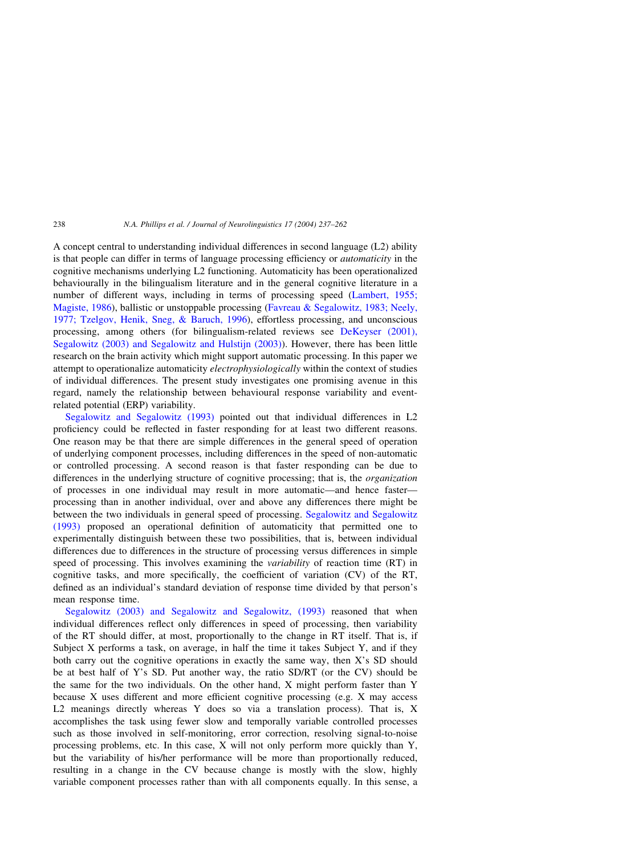A concept central to understanding individual differences in second language (L2) ability is that people can differ in terms of language processing efficiency or automaticity in the cognitive mechanisms underlying L2 functioning. Automaticity has been operationalized behaviourally in the bilingualism literature and in the general cognitive literature in a number of different ways, including in terms of processing speed ([Lambert, 1955;](#page-24-0) [Magiste, 1986\)](#page-24-0), ballistic or unstoppable processing ([Favreau & Segalowitz, 1983; Neely,](#page-23-0) [1977; Tzelgov, Henik, Sneg, & Baruch, 1996](#page-23-0)), effortless processing, and unconscious processing, among others (for bilingualism-related reviews see [DeKeyser \(2001\),](#page-23-0) [Segalowitz \(2003\) and Segalowitz and Hulstijn \(2003\)](#page-23-0)). However, there has been little research on the brain activity which might support automatic processing. In this paper we attempt to operationalize automaticity electrophysiologically within the context of studies of individual differences. The present study investigates one promising avenue in this regard, namely the relationship between behavioural response variability and eventrelated potential (ERP) variability.

[Segalowitz and Segalowitz \(1993\)](#page-24-0) pointed out that individual differences in L2 proficiency could be reflected in faster responding for at least two different reasons. One reason may be that there are simple differences in the general speed of operation of underlying component processes, including differences in the speed of non-automatic or controlled processing. A second reason is that faster responding can be due to differences in the underlying structure of cognitive processing; that is, the organization of processes in one individual may result in more automatic—and hence faster processing than in another individual, over and above any differences there might be between the two individuals in general speed of processing. [Segalowitz and Segalowitz](#page-24-0) [\(1993\)](#page-24-0) proposed an operational definition of automaticity that permitted one to experimentally distinguish between these two possibilities, that is, between individual differences due to differences in the structure of processing versus differences in simple speed of processing. This involves examining the variability of reaction time (RT) in cognitive tasks, and more specifically, the coefficient of variation (CV) of the RT, defined as an individual's standard deviation of response time divided by that person's mean response time.

[Segalowitz \(2003\) and Segalowitz and Segalowitz, \(1993\)](#page-24-0) reasoned that when individual differences reflect only differences in speed of processing, then variability of the RT should differ, at most, proportionally to the change in RT itself. That is, if Subject X performs a task, on average, in half the time it takes Subject Y, and if they both carry out the cognitive operations in exactly the same way, then X's SD should be at best half of Y's SD. Put another way, the ratio SD/RT (or the CV) should be the same for the two individuals. On the other hand, X might perform faster than Y because X uses different and more efficient cognitive processing (e.g. X may access L2 meanings directly whereas Y does so via a translation process). That is, X accomplishes the task using fewer slow and temporally variable controlled processes such as those involved in self-monitoring, error correction, resolving signal-to-noise processing problems, etc. In this case, X will not only perform more quickly than Y, but the variability of his/her performance will be more than proportionally reduced, resulting in a change in the CV because change is mostly with the slow, highly variable component processes rather than with all components equally. In this sense, a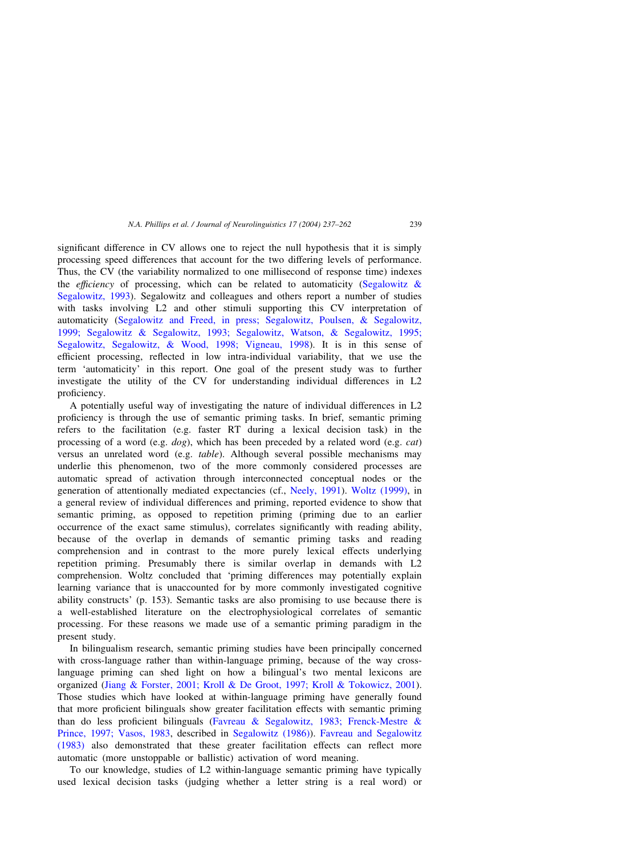significant difference in CV allows one to reject the null hypothesis that it is simply processing speed differences that account for the two differing levels of performance. Thus, the CV (the variability normalized to one millisecond of response time) indexes the *efficiency* of processing, which can be related to automaticity (Segalowitz  $\&$ [Segalowitz, 1993](#page-24-0)). Segalowitz and colleagues and others report a number of studies with tasks involving L2 and other stimuli supporting this CV interpretation of automaticity [\(Segalowitz and Freed, in press; Segalowitz, Poulsen, & Segalowitz,](#page-24-0) [1999; Segalowitz & Segalowitz, 1993; Segalowitz, Watson, & Segalowitz, 1995;](#page-24-0) [Segalowitz, Segalowitz, & Wood, 1998; Vigneau, 1998\)](#page-24-0). It is in this sense of efficient processing, reflected in low intra-individual variability, that we use the term 'automaticity' in this report. One goal of the present study was to further investigate the utility of the CV for understanding individual differences in L2 proficiency.

A potentially useful way of investigating the nature of individual differences in L2 proficiency is through the use of semantic priming tasks. In brief, semantic priming refers to the facilitation (e.g. faster RT during a lexical decision task) in the processing of a word (e.g.  $dog$ ), which has been preceded by a related word (e.g. *cat*) versus an unrelated word (e.g. table). Although several possible mechanisms may underlie this phenomenon, two of the more commonly considered processes are automatic spread of activation through interconnected conceptual nodes or the generation of attentionally mediated expectancies (cf., [Neely, 1991](#page-24-0)). [Woltz \(1999\)](#page-25-0), in a general review of individual differences and priming, reported evidence to show that semantic priming, as opposed to repetition priming (priming due to an earlier occurrence of the exact same stimulus), correlates significantly with reading ability, because of the overlap in demands of semantic priming tasks and reading comprehension and in contrast to the more purely lexical effects underlying repetition priming. Presumably there is similar overlap in demands with L2 comprehension. Woltz concluded that 'priming differences may potentially explain learning variance that is unaccounted for by more commonly investigated cognitive ability constructs' (p. 153). Semantic tasks are also promising to use because there is a well-established literature on the electrophysiological correlates of semantic processing. For these reasons we made use of a semantic priming paradigm in the present study.

In bilingualism research, semantic priming studies have been principally concerned with cross-language rather than within-language priming, because of the way crosslanguage priming can shed light on how a bilingual's two mental lexicons are organized [\(Jiang & Forster, 2001; Kroll & De Groot, 1997; Kroll & Tokowicz, 2001\)](#page-23-0). Those studies which have looked at within-language priming have generally found that more proficient bilinguals show greater facilitation effects with semantic priming than do less proficient bilinguals [\(Favreau & Segalowitz, 1983; Frenck-Mestre &](#page-23-0) [Prince, 1997; Vasos, 1983,](#page-23-0) described in [Segalowitz \(1986\)](#page-24-0)). [Favreau and Segalowitz](#page-23-0) [\(1983\)](#page-23-0) also demonstrated that these greater facilitation effects can reflect more automatic (more unstoppable or ballistic) activation of word meaning.

To our knowledge, studies of L2 within-language semantic priming have typically used lexical decision tasks (judging whether a letter string is a real word) or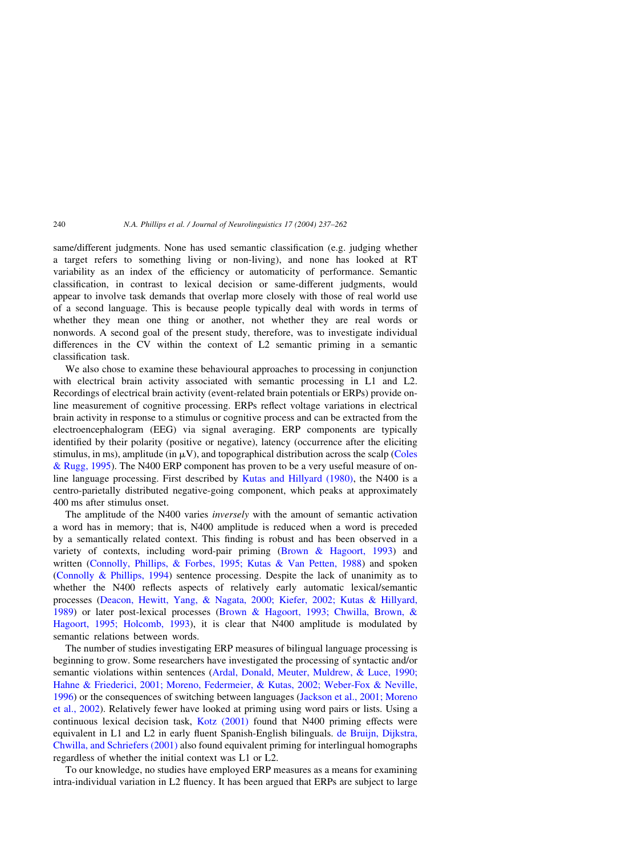same/different judgments. None has used semantic classification (e.g. judging whether a target refers to something living or non-living), and none has looked at RT variability as an index of the efficiency or automaticity of performance. Semantic classification, in contrast to lexical decision or same-different judgments, would appear to involve task demands that overlap more closely with those of real world use of a second language. This is because people typically deal with words in terms of whether they mean one thing or another, not whether they are real words or nonwords. A second goal of the present study, therefore, was to investigate individual differences in the CV within the context of L2 semantic priming in a semantic classification task.

We also chose to examine these behavioural approaches to processing in conjunction with electrical brain activity associated with semantic processing in L1 and L2. Recordings of electrical brain activity (event-related brain potentials or ERPs) provide online measurement of cognitive processing. ERPs reflect voltage variations in electrical brain activity in response to a stimulus or cognitive process and can be extracted from the electroencephalogram (EEG) via signal averaging. ERP components are typically identified by their polarity (positive or negative), latency (occurrence after the eliciting stimulus, in ms), amplitude (in  $\mu$ V), and topographical distribution across the scalp [\(Coles](#page-23-0) [& Rugg, 1995](#page-23-0)). The N400 ERP component has proven to be a very useful measure of online language processing. First described by [Kutas and Hillyard \(1980\),](#page-24-0) the N400 is a centro-parietally distributed negative-going component, which peaks at approximately 400 ms after stimulus onset.

The amplitude of the N400 varies inversely with the amount of semantic activation a word has in memory; that is, N400 amplitude is reduced when a word is preceded by a semantically related context. This finding is robust and has been observed in a variety of contexts, including word-pair priming ([Brown & Hagoort, 1993\)](#page-23-0) and written ([Connolly, Phillips, & Forbes, 1995; Kutas & Van Petten, 1988](#page-24-0)) and spoken ([Connolly & Phillips, 1994](#page-23-0)) sentence processing. Despite the lack of unanimity as to whether the N400 reflects aspects of relatively early automatic lexical/semantic processes ([Deacon, Hewitt, Yang, & Nagata, 2000; Kiefer, 2002; Kutas & Hillyard,](#page-23-0) [1989](#page-23-0)) or later post-lexical processes ([Brown & Hagoort, 1993; Chwilla, Brown, &](#page-23-0) [Hagoort, 1995; Holcomb, 1993\)](#page-23-0), it is clear that N400 amplitude is modulated by semantic relations between words.

The number of studies investigating ERP measures of bilingual language processing is beginning to grow. Some researchers have investigated the processing of syntactic and/or semantic violations within sentences [\(Ardal, Donald, Meuter, Muldrew, & Luce, 1990;](#page-23-0) [Hahne & Friederici, 2001; Moreno, Federmeier, & Kutas, 2002; Weber-Fox & Neville,](#page-23-0) [1996](#page-23-0)) or the consequences of switching between languages [\(Jackson et al., 2001; Moreno](#page-23-0) [et al., 2002](#page-23-0)). Relatively fewer have looked at priming using word pairs or lists. Using a continuous lexical decision task, [Kotz \(2001\)](#page-24-0) found that N400 priming effects were equivalent in L1 and L2 in early fluent Spanish-English bilinguals. [de Bruijn, Dijkstra,](#page-23-0) [Chwilla, and Schriefers \(2001\)](#page-23-0) also found equivalent priming for interlingual homographs regardless of whether the initial context was L1 or L2.

To our knowledge, no studies have employed ERP measures as a means for examining intra-individual variation in L2 fluency. It has been argued that ERPs are subject to large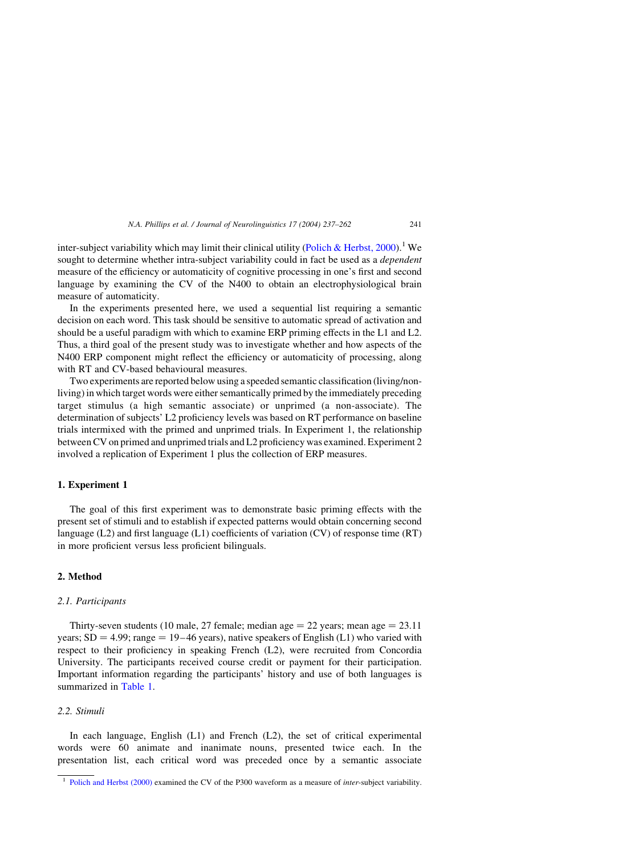inter-subject variability which may limit their clinical utility [\(Polich & Herbst, 2000\)](#page-24-0).<sup>1</sup> We sought to determine whether intra-subject variability could in fact be used as a *dependent* measure of the efficiency or automaticity of cognitive processing in one's first and second language by examining the CV of the N400 to obtain an electrophysiological brain measure of automaticity.

In the experiments presented here, we used a sequential list requiring a semantic decision on each word. This task should be sensitive to automatic spread of activation and should be a useful paradigm with which to examine ERP priming effects in the L1 and L2. Thus, a third goal of the present study was to investigate whether and how aspects of the N400 ERP component might reflect the efficiency or automaticity of processing, along with RT and CV-based behavioural measures.

Two experiments are reported below using a speeded semantic classification (living/nonliving) in which target words were either semantically primed by the immediately preceding target stimulus (a high semantic associate) or unprimed (a non-associate). The determination of subjects' L2 proficiency levels was based on RT performance on baseline trials intermixed with the primed and unprimed trials. In Experiment 1, the relationship between CV on primed and unprimed trials and L2 proficiency was examined. Experiment 2 involved a replication of Experiment 1 plus the collection of ERP measures.

# 1. Experiment 1

The goal of this first experiment was to demonstrate basic priming effects with the present set of stimuli and to establish if expected patterns would obtain concerning second language (L2) and first language (L1) coefficients of variation (CV) of response time (RT) in more proficient versus less proficient bilinguals.

# 2. Method

#### 2.1. Participants

Thirty-seven students (10 male, 27 female; median age  $= 22$  years; mean age  $= 23.11$ years;  $SD = 4.99$ ; range = 19–46 years), native speakers of English (L1) who varied with respect to their proficiency in speaking French (L2), were recruited from Concordia University. The participants received course credit or payment for their participation. Important information regarding the participants' history and use of both languages is summarized in [Table 1](#page-5-0).

# 2.2. Stimuli

In each language, English (L1) and French (L2), the set of critical experimental words were 60 animate and inanimate nouns, presented twice each. In the presentation list, each critical word was preceded once by a semantic associate

<sup>&</sup>lt;sup>1</sup> [Polich and Herbst \(2000\)](#page-24-0) examined the CV of the P300 waveform as a measure of *inter*-subject variability.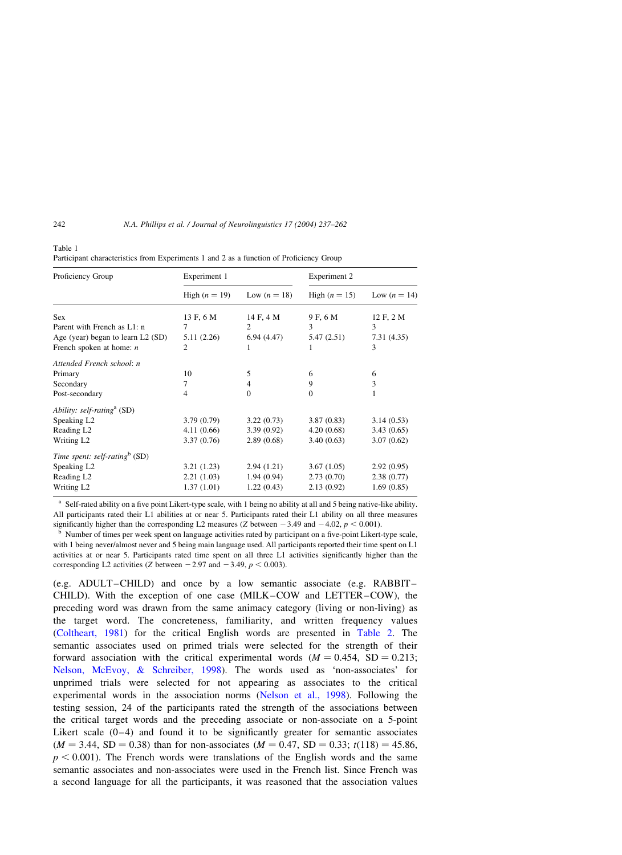Table 1 Participant characteristics from Experiments 1 and 2 as a function of Proficiency Group

| Proficiency Group                         | Experiment 1    |                | Experiment 2    |                |
|-------------------------------------------|-----------------|----------------|-----------------|----------------|
|                                           | High $(n = 19)$ | Low $(n = 18)$ | High $(n = 15)$ | Low $(n = 14)$ |
| <b>Sex</b>                                | 13 F, 6 M       | 14 F, 4 M      | 9 F, 6 M        | 12 F, 2 M      |
| Parent with French as L1: n               | 7               | 2              | 3               | 3              |
| Age (year) began to learn L2 (SD)         | 5.11(2.26)      | 6.94(4.47)     | 5.47(2.51)      | 7.31(4.35)     |
| French spoken at home: $n$                | 2               | 1              | 1               | 3              |
| Attended French school: n                 |                 |                |                 |                |
| Primary                                   | 10              | 5              | 6               | 6              |
| Secondary                                 | 7               | $\overline{4}$ | 9               | 3              |
| Post-secondary                            | $\overline{4}$  | $\Omega$       | $\Omega$        | 1              |
| Ability: self-rating <sup>a</sup> (SD)    |                 |                |                 |                |
| Speaking L <sub>2</sub>                   | 3.79(0.79)      | 3.22(0.73)     | 3.87(0.83)      | 3.14(0.53)     |
| Reading L <sub>2</sub>                    | 4.11(0.66)      | 3.39(0.92)     | 4.20(0.68)      | 3.43(0.65)     |
| Writing L <sub>2</sub>                    | 3.37(0.76)      | 2.89(0.68)     | 3.40(0.63)      | 3.07(0.62)     |
| Time spent: self-rating <sup>b</sup> (SD) |                 |                |                 |                |
| Speaking L <sub>2</sub>                   | 3.21(1.23)      | 2.94(1.21)     | 3.67(1.05)      | 2.92(0.95)     |
| Reading L <sub>2</sub>                    | 2.21(1.03)      | 1.94(0.94)     | 2.73(0.70)      | 2.38(0.77)     |
| Writing L <sub>2</sub>                    | 1.37(1.01)      | 1.22(0.43)     | 2.13(0.92)      | 1.69(0.85)     |

<sup>a</sup> Self-rated ability on a five point Likert-type scale, with 1 being no ability at all and 5 being native-like ability. All participants rated their L1 abilities at or near 5. Participants rated their L1 ability on all three measures

significantly higher than the corresponding L2 measures (Z between  $-3.49$  and  $-4.02$ ,  $p < 0.001$ ).<br><sup>b</sup> Number of times per week spent on language activities rated by participant on a five-point Likert-type scale, with 1 being never/almost never and 5 being main language used. All participants reported their time spent on L1 activities at or near 5. Participants rated time spent on all three L1 activities significantly higher than the corresponding L2 activities (Z between  $-2.97$  and  $-3.49$ ,  $p < 0.003$ ).

(e.g. ADULT–CHILD) and once by a low semantic associate (e.g. RABBIT– CHILD). With the exception of one case (MILK–COW and LETTER–COW), the preceding word was drawn from the same animacy category (living or non-living) as the target word. The concreteness, familiarity, and written frequency values ([Coltheart, 1981](#page-23-0)) for the critical English words are presented in [Table 2](#page-6-0). The semantic associates used on primed trials were selected for the strength of their forward association with the critical experimental words  $(M = 0.454, SD = 0.213;$ [Nelson, McEvoy, & Schreiber, 1998](#page-24-0)). The words used as 'non-associates' for unprimed trials were selected for not appearing as associates to the critical experimental words in the association norms ([Nelson et al., 1998\)](#page-24-0). Following the testing session, 24 of the participants rated the strength of the associations between the critical target words and the preceding associate or non-associate on a 5-point Likert scale  $(0-4)$  and found it to be significantly greater for semantic associates  $(M = 3.44, SD = 0.38)$  than for non-associates  $(M = 0.47, SD = 0.33; t(118) = 45.86$ ,  $p < 0.001$ ). The French words were translations of the English words and the same semantic associates and non-associates were used in the French list. Since French was a second language for all the participants, it was reasoned that the association values

<span id="page-5-0"></span>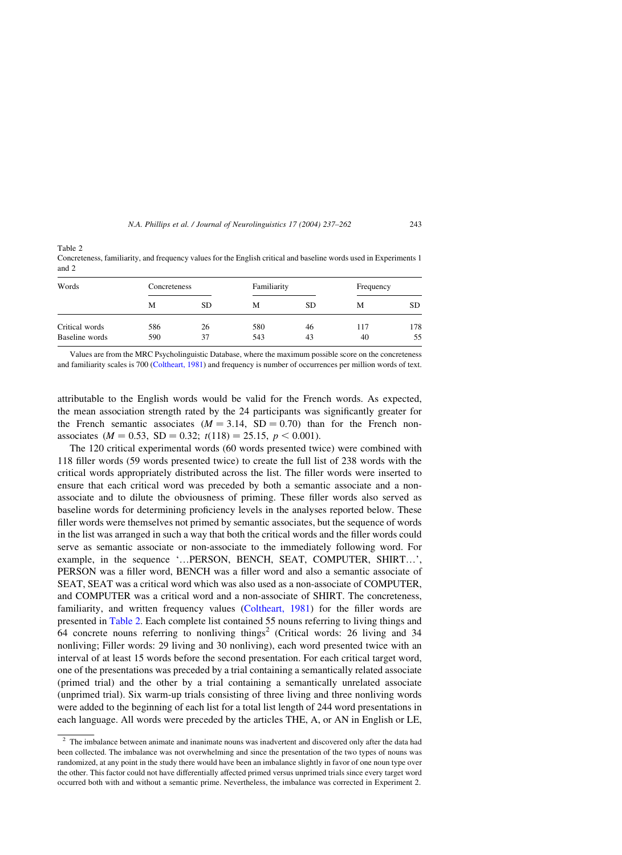Concreteness, familiarity, and frequency values for the English critical and baseline words used in Experiments 1 and 2

<span id="page-6-0"></span>Table 2

| Words          | Concreteness |           | Familiarity |    | Frequency |     |
|----------------|--------------|-----------|-------------|----|-----------|-----|
|                | М            | <b>SD</b> | М           | SD | М         | SD  |
| Critical words | 586          | 26        | 580         | 46 | 117       | 178 |
| Baseline words | 590          | 37        | 543         | 43 | 40        | 55  |

Values are from the MRC Psycholinguistic Database, where the maximum possible score on the concreteness and familiarity scales is 700 ([Coltheart, 1981](#page-23-0)) and frequency is number of occurrences per million words of text.

attributable to the English words would be valid for the French words. As expected, the mean association strength rated by the 24 participants was significantly greater for the French semantic associates  $(M = 3.14, SD = 0.70)$  than for the French nonassociates ( $M = 0.53$ , SD = 0.32;  $t(118) = 25.15$ ,  $p < 0.001$ ).

The 120 critical experimental words (60 words presented twice) were combined with 118 filler words (59 words presented twice) to create the full list of 238 words with the critical words appropriately distributed across the list. The filler words were inserted to ensure that each critical word was preceded by both a semantic associate and a nonassociate and to dilute the obviousness of priming. These filler words also served as baseline words for determining proficiency levels in the analyses reported below. These filler words were themselves not primed by semantic associates, but the sequence of words in the list was arranged in such a way that both the critical words and the filler words could serve as semantic associate or non-associate to the immediately following word. For example, in the sequence '…PERSON, BENCH, SEAT, COMPUTER, SHIRT…', PERSON was a filler word, BENCH was a filler word and also a semantic associate of SEAT, SEAT was a critical word which was also used as a non-associate of COMPUTER, and COMPUTER was a critical word and a non-associate of SHIRT. The concreteness, familiarity, and written frequency values [\(Coltheart, 1981\)](#page-23-0) for the filler words are presented in Table 2. Each complete list contained 55 nouns referring to living things and 64 concrete nouns referring to nonliving things<sup>2</sup> (Critical words: 26 living and 34 nonliving; Filler words: 29 living and 30 nonliving), each word presented twice with an interval of at least 15 words before the second presentation. For each critical target word, one of the presentations was preceded by a trial containing a semantically related associate (primed trial) and the other by a trial containing a semantically unrelated associate (unprimed trial). Six warm-up trials consisting of three living and three nonliving words were added to the beginning of each list for a total list length of 244 word presentations in each language. All words were preceded by the articles THE, A, or AN in English or LE,

<sup>&</sup>lt;sup>2</sup> The imbalance between animate and inanimate nouns was inadvertent and discovered only after the data had been collected. The imbalance was not overwhelming and since the presentation of the two types of nouns was randomized, at any point in the study there would have been an imbalance slightly in favor of one noun type over the other. This factor could not have differentially affected primed versus unprimed trials since every target word occurred both with and without a semantic prime. Nevertheless, the imbalance was corrected in Experiment 2.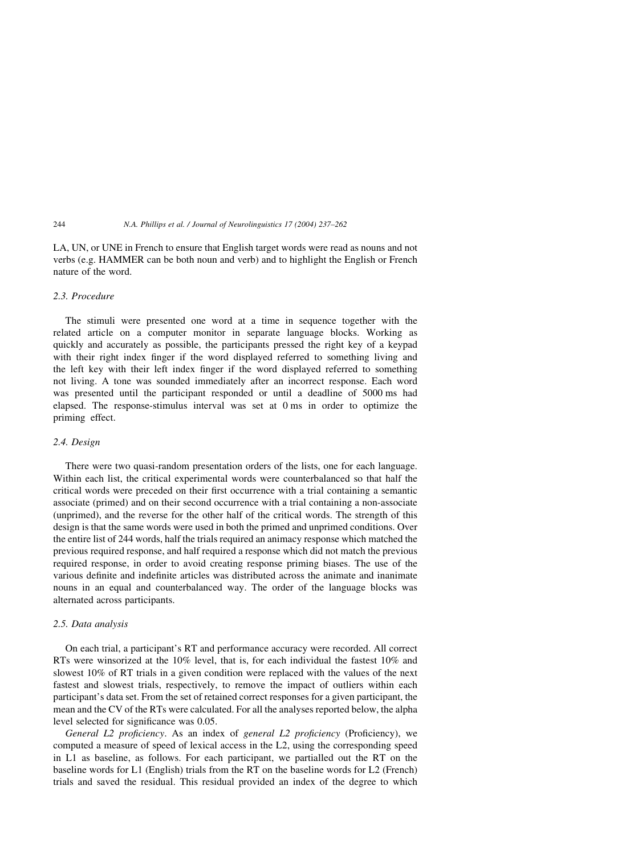LA, UN, or UNE in French to ensure that English target words were read as nouns and not verbs (e.g. HAMMER can be both noun and verb) and to highlight the English or French nature of the word.

# 2.3. Procedure

The stimuli were presented one word at a time in sequence together with the related article on a computer monitor in separate language blocks. Working as quickly and accurately as possible, the participants pressed the right key of a keypad with their right index finger if the word displayed referred to something living and the left key with their left index finger if the word displayed referred to something not living. A tone was sounded immediately after an incorrect response. Each word was presented until the participant responded or until a deadline of 5000 ms had elapsed. The response-stimulus interval was set at 0 ms in order to optimize the priming effect.

# 2.4. Design

There were two quasi-random presentation orders of the lists, one for each language. Within each list, the critical experimental words were counterbalanced so that half the critical words were preceded on their first occurrence with a trial containing a semantic associate (primed) and on their second occurrence with a trial containing a non-associate (unprimed), and the reverse for the other half of the critical words. The strength of this design is that the same words were used in both the primed and unprimed conditions. Over the entire list of 244 words, half the trials required an animacy response which matched the previous required response, and half required a response which did not match the previous required response, in order to avoid creating response priming biases. The use of the various definite and indefinite articles was distributed across the animate and inanimate nouns in an equal and counterbalanced way. The order of the language blocks was alternated across participants.

## 2.5. Data analysis

On each trial, a participant's RT and performance accuracy were recorded. All correct RTs were winsorized at the 10% level, that is, for each individual the fastest 10% and slowest 10% of RT trials in a given condition were replaced with the values of the next fastest and slowest trials, respectively, to remove the impact of outliers within each participant's data set. From the set of retained correct responses for a given participant, the mean and the CV of the RTs were calculated. For all the analyses reported below, the alpha level selected for significance was 0.05.

General L2 proficiency. As an index of general L2 proficiency (Proficiency), we computed a measure of speed of lexical access in the L2, using the corresponding speed in L1 as baseline, as follows. For each participant, we partialled out the RT on the baseline words for L1 (English) trials from the RT on the baseline words for L2 (French) trials and saved the residual. This residual provided an index of the degree to which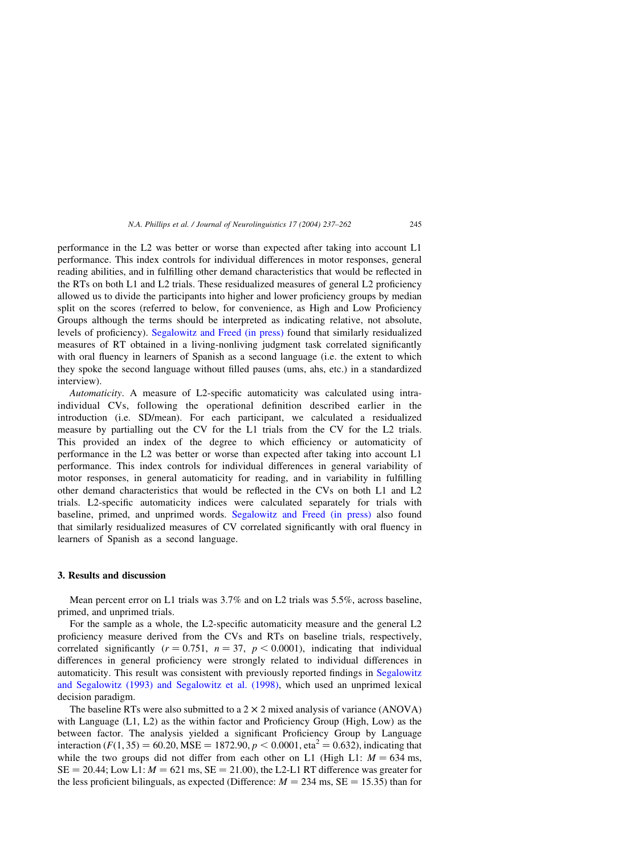performance in the L2 was better or worse than expected after taking into account L1 performance. This index controls for individual differences in motor responses, general reading abilities, and in fulfilling other demand characteristics that would be reflected in the RTs on both L1 and L2 trials. These residualized measures of general L2 proficiency allowed us to divide the participants into higher and lower proficiency groups by median split on the scores (referred to below, for convenience, as High and Low Proficiency Groups although the terms should be interpreted as indicating relative, not absolute, levels of proficiency). [Segalowitz and Freed \(in press\)](#page-24-0) found that similarly residualized measures of RT obtained in a living-nonliving judgment task correlated significantly with oral fluency in learners of Spanish as a second language (i.e. the extent to which they spoke the second language without filled pauses (ums, ahs, etc.) in a standardized interview).

Automaticity. A measure of L2-specific automaticity was calculated using intraindividual CVs, following the operational definition described earlier in the introduction (i.e. SD/mean). For each participant, we calculated a residualized measure by partialling out the CV for the L1 trials from the CV for the L2 trials. This provided an index of the degree to which efficiency or automaticity of performance in the L2 was better or worse than expected after taking into account L1 performance. This index controls for individual differences in general variability of motor responses, in general automaticity for reading, and in variability in fulfilling other demand characteristics that would be reflected in the CVs on both L1 and L2 trials. L2-specific automaticity indices were calculated separately for trials with baseline, primed, and unprimed words. [Segalowitz and Freed \(in press\)](#page-24-0) also found that similarly residualized measures of CV correlated significantly with oral fluency in learners of Spanish as a second language.

## 3. Results and discussion

Mean percent error on L1 trials was 3.7% and on L2 trials was 5.5%, across baseline, primed, and unprimed trials.

For the sample as a whole, the L2-specific automaticity measure and the general L2 proficiency measure derived from the CVs and RTs on baseline trials, respectively, correlated significantly ( $r = 0.751$ ,  $n = 37$ ,  $p < 0.0001$ ), indicating that individual differences in general proficiency were strongly related to individual differences in automaticity. This result was consistent with previously reported findings in [Segalowitz](#page-24-0) [and Segalowitz \(1993\) and Segalowitz et al. \(1998\)](#page-24-0), which used an unprimed lexical decision paradigm.

The baseline RTs were also submitted to a  $2 \times 2$  mixed analysis of variance (ANOVA) with Language (L1, L2) as the within factor and Proficiency Group (High, Low) as the between factor. The analysis yielded a significant Proficiency Group by Language interaction ( $F(1, 35) = 60.20$ , MSE = 1872.90,  $p < 0.0001$ , eta<sup>2</sup> = 0.632), indicating that while the two groups did not differ from each other on L1 (High L1:  $M = 634$  ms,  $SE = 20.44$ ; Low L1:  $M = 621$  ms,  $SE = 21.00$ ), the L2-L1 RT difference was greater for the less proficient bilinguals, as expected (Difference:  $M = 234$  ms,  $SE = 15.35$ ) than for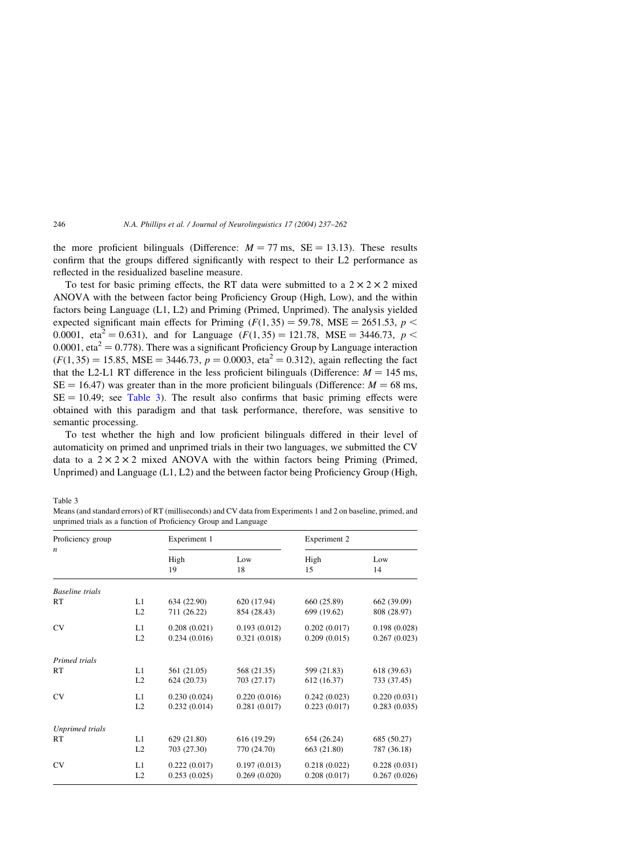the more proficient bilinguals (Difference:  $M = 77$  ms,  $SE = 13.13$ ). These results confirm that the groups differed significantly with respect to their L2 performance as reflected in the residualized baseline measure.

To test for basic priming effects, the RT data were submitted to a  $2 \times 2 \times 2$  mixed ANOVA with the between factor being Proficiency Group (High, Low), and the within factors being Language (L1, L2) and Priming (Primed, Unprimed). The analysis yielded expected significant main effects for Priming  $(F(1, 35) = 59.78$ , MSE = 2651.53, p < 0.0001, eta<sup>2</sup> = 0.631), and for Language  $(F(1, 35) = 121.78$ , MSE = 3446.73, p < 0.0001,  $eta^2 = 0.778$ ). There was a significant Proficiency Group by Language interaction  $(F(1, 35) = 15.85, \text{MSE} = 3446.73, p = 0.0003, \text{eta}^2 = 0.312$ , again reflecting the fact that the L2-L1 RT difference in the less proficient bilinguals (Difference:  $M = 145$  ms,  $SE = 16.47$ ) was greater than in the more proficient bilinguals (Difference:  $M = 68$  ms,  $SE = 10.49$ ; see Table 3). The result also confirms that basic priming effects were obtained with this paradigm and that task performance, therefore, was sensitive to semantic processing.

To test whether the high and low proficient bilinguals differed in their level of automaticity on primed and unprimed trials in their two languages, we submitted the CV data to a  $2 \times 2 \times 2$  mixed ANOVA with the within factors being Priming (Primed, Unprimed) and Language (L1, L2) and the between factor being Proficiency Group (High,

Table 3

Means (and standard errors) of RT (milliseconds) and CV data from Experiments 1 and 2 on baseline, primed, and unprimed trials as a function of Proficiency Group and Language

| Proficiency group      |                | Experiment 1 |              |              | Experiment 2 |  |
|------------------------|----------------|--------------|--------------|--------------|--------------|--|
| $\boldsymbol{n}$       |                | High<br>19   | Low<br>18    | High<br>15   | Low<br>14    |  |
| <b>Baseline</b> trials |                |              |              |              |              |  |
| <b>RT</b>              | L1             | 634 (22.90)  | 620 (17.94)  | 660 (25.89)  | 662 (39.09)  |  |
|                        | L2             | 711 (26.22)  | 854 (28.43)  | 699 (19.62)  | 808 (28.97)  |  |
| <b>CV</b>              | L1             | 0.208(0.021) | 0.193(0.012) | 0.202(0.017) | 0.198(0.028) |  |
|                        | L <sub>2</sub> | 0.234(0.016) | 0.321(0.018) | 0.209(0.015) | 0.267(0.023) |  |
| Primed trials          |                |              |              |              |              |  |
| <b>RT</b>              | L1             | 561 (21.05)  | 568 (21.35)  | 599 (21.83)  | 618 (39.63)  |  |
|                        | L2             | 624 (20.73)  | 703 (27.17)  | 612 (16.37)  | 733 (37.45)  |  |
| <b>CV</b>              | L1             | 0.230(0.024) | 0.220(0.016) | 0.242(0.023) | 0.220(0.031) |  |
|                        | L2             | 0.232(0.014) | 0.281(0.017) | 0.223(0.017) | 0.283(0.035) |  |
| <b>Unprimed</b> trials |                |              |              |              |              |  |
| <b>RT</b>              | L1             | 629 (21.80)  | 616 (19.29)  | 654 (26.24)  | 685 (50.27)  |  |
|                        | L <sub>2</sub> | 703 (27.30)  | 770 (24.70)  | 663 (21.80)  | 787 (36.18)  |  |
| <b>CV</b>              | L1             | 0.222(0.017) | 0.197(0.013) | 0.218(0.022) | 0.228(0.031) |  |
|                        | L2             | 0.253(0.025) | 0.269(0.020) | 0.208(0.017) | 0.267(0.026) |  |

<span id="page-9-0"></span>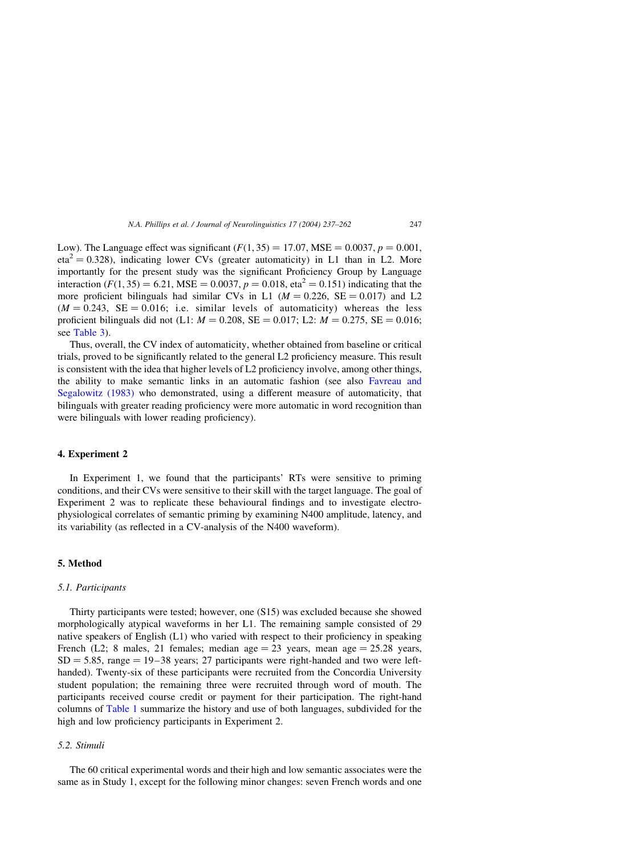Low). The Language effect was significant  $(F(1, 35) = 17.07$ , MSE  $= 0.0037$ ,  $p = 0.001$ ,  $eta^2 = 0.328$ ), indicating lower CVs (greater automaticity) in L1 than in L2. More importantly for the present study was the significant Proficiency Group by Language interaction ( $F(1, 35) = 6.21$ , MSE = 0.0037,  $p = 0.018$ , eta<sup>2</sup> = 0.151) indicating that the more proficient bilinguals had similar CVs in L1 ( $M = 0.226$ , SE = 0.017) and L2  $(M = 0.243, SE = 0.016; i.e. similar levels of automaticity) whereas the less$ proficient bilinguals did not (L1:  $M = 0.208$ , SE = 0.017; L2:  $M = 0.275$ , SE = 0.016; see [Table 3](#page-9-0)).

Thus, overall, the CV index of automaticity, whether obtained from baseline or critical trials, proved to be significantly related to the general L2 proficiency measure. This result is consistent with the idea that higher levels of L2 proficiency involve, among other things, the ability to make semantic links in an automatic fashion (see also [Favreau and](#page-23-0) [Segalowitz \(1983\)](#page-23-0) who demonstrated, using a different measure of automaticity, that bilinguals with greater reading proficiency were more automatic in word recognition than were bilinguals with lower reading proficiency).

#### 4. Experiment 2

In Experiment 1, we found that the participants' RTs were sensitive to priming conditions, and their CVs were sensitive to their skill with the target language. The goal of Experiment 2 was to replicate these behavioural findings and to investigate electrophysiological correlates of semantic priming by examining N400 amplitude, latency, and its variability (as reflected in a CV-analysis of the N400 waveform).

#### 5. Method

## 5.1. Participants

Thirty participants were tested; however, one (S15) was excluded because she showed morphologically atypical waveforms in her L1. The remaining sample consisted of 29 native speakers of English (L1) who varied with respect to their proficiency in speaking French (L2; 8 males, 21 females; median age  $= 23$  years, mean age  $= 25.28$  years,  $SD = 5.85$ , range = 19–38 years; 27 participants were right-handed and two were lefthanded). Twenty-six of these participants were recruited from the Concordia University student population; the remaining three were recruited through word of mouth. The participants received course credit or payment for their participation. The right-hand columns of [Table 1](#page-5-0) summarize the history and use of both languages, subdivided for the high and low proficiency participants in Experiment 2.

## 5.2. Stimuli

The 60 critical experimental words and their high and low semantic associates were the same as in Study 1, except for the following minor changes: seven French words and one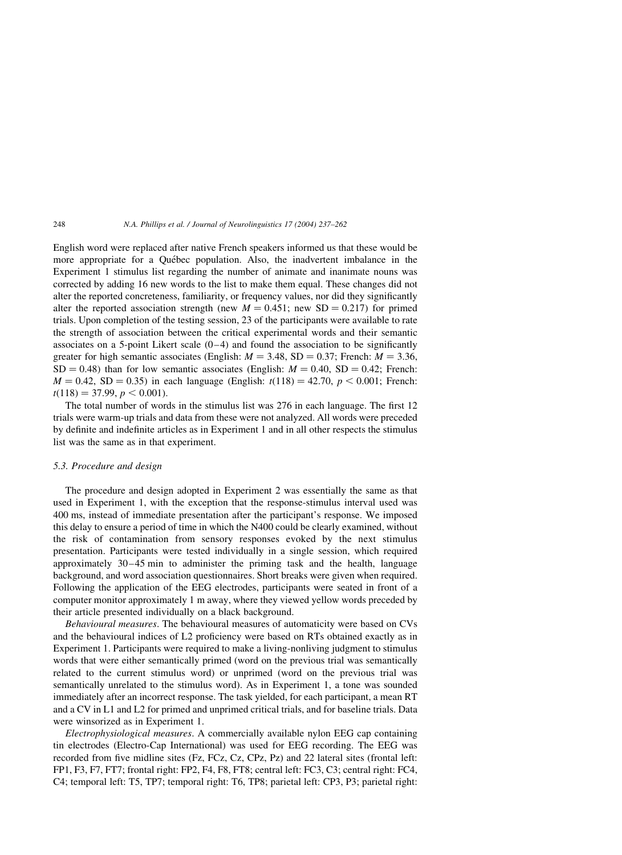English word were replaced after native French speakers informed us that these would be more appropriate for a Québec population. Also, the inadvertent imbalance in the Experiment 1 stimulus list regarding the number of animate and inanimate nouns was corrected by adding 16 new words to the list to make them equal. These changes did not alter the reported concreteness, familiarity, or frequency values, nor did they significantly alter the reported association strength (new  $M = 0.451$ ; new SD = 0.217) for primed trials. Upon completion of the testing session, 23 of the participants were available to rate the strength of association between the critical experimental words and their semantic associates on a 5-point Likert scale  $(0-4)$  and found the association to be significantly greater for high semantic associates (English:  $M = 3.48$ , SD = 0.37; French:  $M = 3.36$ ,  $SD = 0.48$ ) than for low semantic associates (English:  $M = 0.40$ ,  $SD = 0.42$ ; French:  $M = 0.42$ , SD = 0.35) in each language (English:  $t(118) = 42.70$ ,  $p < 0.001$ ; French:  $t(118) = 37.99, p < 0.001$ .

The total number of words in the stimulus list was 276 in each language. The first 12 trials were warm-up trials and data from these were not analyzed. All words were preceded by definite and indefinite articles as in Experiment 1 and in all other respects the stimulus list was the same as in that experiment.

#### 5.3. Procedure and design

The procedure and design adopted in Experiment 2 was essentially the same as that used in Experiment 1, with the exception that the response-stimulus interval used was 400 ms, instead of immediate presentation after the participant's response. We imposed this delay to ensure a period of time in which the N400 could be clearly examined, without the risk of contamination from sensory responses evoked by the next stimulus presentation. Participants were tested individually in a single session, which required approximately 30–45 min to administer the priming task and the health, language background, and word association questionnaires. Short breaks were given when required. Following the application of the EEG electrodes, participants were seated in front of a computer monitor approximately 1 m away, where they viewed yellow words preceded by their article presented individually on a black background.

Behavioural measures. The behavioural measures of automaticity were based on CVs and the behavioural indices of L2 proficiency were based on RTs obtained exactly as in Experiment 1. Participants were required to make a living-nonliving judgment to stimulus words that were either semantically primed (word on the previous trial was semantically related to the current stimulus word) or unprimed (word on the previous trial was semantically unrelated to the stimulus word). As in Experiment 1, a tone was sounded immediately after an incorrect response. The task yielded, for each participant, a mean RT and a CV in L1 and L2 for primed and unprimed critical trials, and for baseline trials. Data were winsorized as in Experiment 1.

Electrophysiological measures. A commercially available nylon EEG cap containing tin electrodes (Electro-Cap International) was used for EEG recording. The EEG was recorded from five midline sites (Fz, FCz, Cz, CPz, Pz) and 22 lateral sites (frontal left: FP1, F3, F7, FT7; frontal right: FP2, F4, F8, FT8; central left: FC3, C3; central right: FC4, C4; temporal left: T5, TP7; temporal right: T6, TP8; parietal left: CP3, P3; parietal right: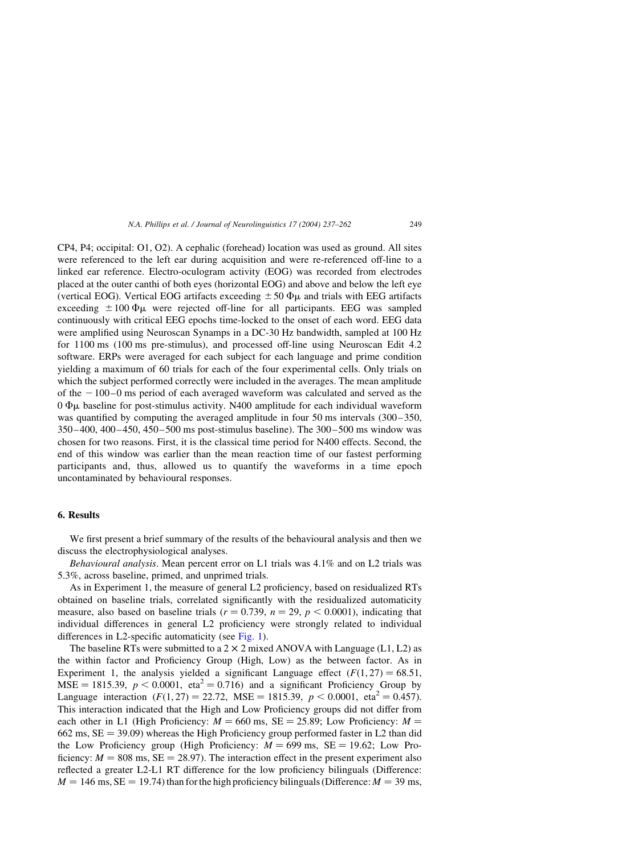CP4, P4; occipital: O1, O2). A cephalic (forehead) location was used as ground. All sites were referenced to the left ear during acquisition and were re-referenced off-line to a linked ear reference. Electro-oculogram activity (EOG) was recorded from electrodes placed at the outer canthi of both eyes (horizontal EOG) and above and below the left eye (vertical EOG). Vertical EOG artifacts exceeding  $\pm 50 \Phi \mu$  and trials with EEG artifacts exceeding  $\pm 100 \Phi$ µ were rejected off-line for all participants. EEG was sampled continuously with critical EEG epochs time-locked to the onset of each word. EEG data were amplified using Neuroscan Synamps in a DC-30 Hz bandwidth, sampled at 100 Hz for 1100 ms (100 ms pre-stimulus), and processed off-line using Neuroscan Edit 4.2 software. ERPs were averaged for each subject for each language and prime condition yielding a maximum of 60 trials for each of the four experimental cells. Only trials on which the subject performed correctly were included in the averages. The mean amplitude of the  $-100-0$  ms period of each averaged waveform was calculated and served as the  $0 \Phi$  $\mu$  baseline for post-stimulus activity. N400 amplitude for each individual waveform was quantified by computing the averaged amplitude in four 50 ms intervals (300–350, 350–400, 400–450, 450–500 ms post-stimulus baseline). The 300–500 ms window was chosen for two reasons. First, it is the classical time period for N400 effects. Second, the end of this window was earlier than the mean reaction time of our fastest performing participants and, thus, allowed us to quantify the waveforms in a time epoch uncontaminated by behavioural responses.

## 6. Results

We first present a brief summary of the results of the behavioural analysis and then we discuss the electrophysiological analyses.

Behavioural analysis. Mean percent error on L1 trials was 4.1% and on L2 trials was 5.3%, across baseline, primed, and unprimed trials.

As in Experiment 1, the measure of general L2 proficiency, based on residualized RTs obtained on baseline trials, correlated significantly with the residualized automaticity measure, also based on baseline trials ( $r = 0.739$ ,  $n = 29$ ,  $p < 0.0001$ ), indicating that individual differences in general L2 proficiency were strongly related to individual differences in L2-specific automaticity (see [Fig. 1\)](#page-13-0).

The baseline RTs were submitted to a  $2 \times 2$  mixed ANOVA with Language (L1, L2) as the within factor and Proficiency Group (High, Low) as the between factor. As in Experiment 1, the analysis yielded a significant Language effect  $(F(1, 27) = 68.51$ ,  $MSE = 1815.39$ ,  $p < 0.0001$ , eta<sup>2</sup> = 0.716) and a significant Proficiency Group by Language interaction  $(F(1, 27) = 22.72, \text{MSE} = 1815.39, p < 0.0001, \text{eta}^2 = 0.457).$ This interaction indicated that the High and Low Proficiency groups did not differ from each other in L1 (High Proficiency:  $M = 660$  ms,  $SE = 25.89$ ; Low Proficiency:  $M =$ 662 ms,  $SE = 39.09$ ) whereas the High Proficiency group performed faster in L2 than did the Low Proficiency group (High Proficiency:  $M = 699$  ms,  $SE = 19.62$ ; Low Proficiency:  $M = 808$  ms,  $SE = 28.97$ ). The interaction effect in the present experiment also reflected a greater L2-L1 RT difference for the low proficiency bilinguals (Difference:  $M = 146$  ms,  $SE = 19.74$ ) than for the high proficiency bilinguals (Difference:  $M = 39$  ms,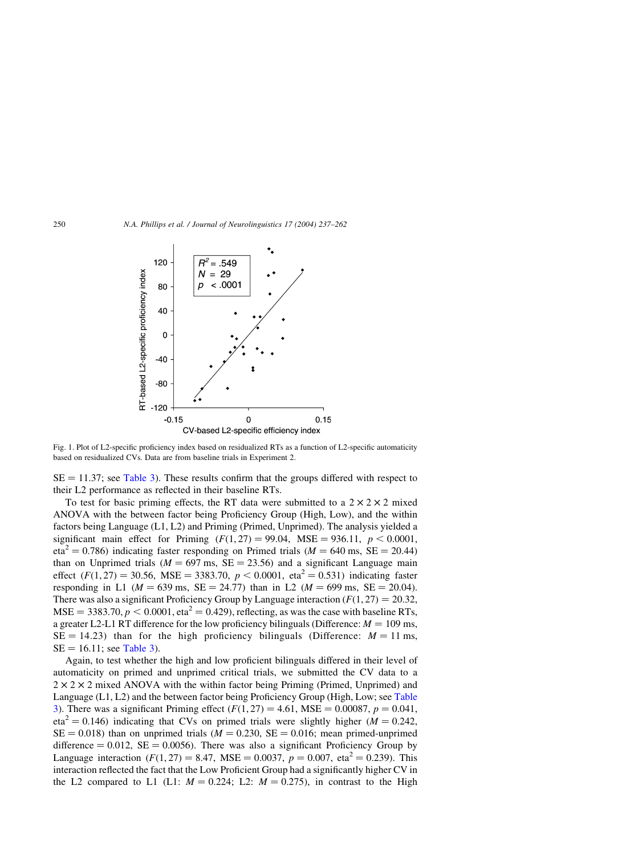

Fig. 1. Plot of L2-specific proficiency index based on residualized RTs as a function of L2-specific automaticity based on residualized CVs. Data are from baseline trials in Experiment 2.

 $SE = 11.37$ ; see [Table 3\)](#page-9-0). These results confirm that the groups differed with respect to their L2 performance as reflected in their baseline RTs.

To test for basic priming effects, the RT data were submitted to a  $2 \times 2 \times 2$  mixed ANOVA with the between factor being Proficiency Group (High, Low), and the within factors being Language (L1, L2) and Priming (Primed, Unprimed). The analysis yielded a significant main effect for Priming  $(F(1, 27) = 99.04$ , MSE = 936.11,  $p < 0.0001$ ,  $eta^2 = 0.786$ ) indicating faster responding on Primed trials ( $M = 640$  ms,  $SE = 20.44$ ) than on Unprimed trials ( $M = 697$  ms,  $SE = 23.56$ ) and a significant Language main effect  $(F(1, 27) = 30.56$ , MSE = 3383.70,  $p < 0.0001$ , eta<sup>2</sup> = 0.531) indicating faster responding in L1 ( $M = 639$  ms, SE = 24.77) than in L2 ( $M = 699$  ms, SE = 20.04). There was also a significant Proficiency Group by Language interaction  $(F(1, 27) = 20.32$ ,  $MSE = 3383.70, p < 0.0001, eta^2 = 0.429$ , reflecting, as was the case with baseline RTs, a greater L2-L1 RT difference for the low proficiency bilinguals (Difference:  $M = 109$  ms,  $SE = 14.23$ ) than for the high proficiency bilinguals (Difference:  $M = 11$  ms,  $SE = 16.11$ ; see [Table 3](#page-9-0)).

Again, to test whether the high and low proficient bilinguals differed in their level of automaticity on primed and unprimed critical trials, we submitted the CV data to a  $2 \times 2 \times 2$  mixed ANOVA with the within factor being Priming (Primed, Unprimed) and Language (L1, L2) and the between factor being Proficiency Group (High, Low; see [Table](#page-9-0) [3](#page-9-0)). There was a significant Priming effect  $(F(1, 27) = 4.61$ , MSE = 0.00087, p = 0.041,  $eta^2 = 0.146$ ) indicating that CVs on primed trials were slightly higher ( $M = 0.242$ ;  $SE = 0.018$ ) than on unprimed trials ( $M = 0.230$ ,  $SE = 0.016$ ; mean primed-unprimed difference  $= 0.012$ , SE  $= 0.0056$ ). There was also a significant Proficiency Group by Language interaction  $(F(1, 27) = 8.47$ , MSE = 0.0037,  $p = 0.007$ , eta<sup>2</sup> = 0.239). This interaction reflected the fact that the Low Proficient Group had a significantly higher CV in the L2 compared to L1 (L1:  $M = 0.224$ ; L2:  $M = 0.275$ ), in contrast to the High

<span id="page-13-0"></span>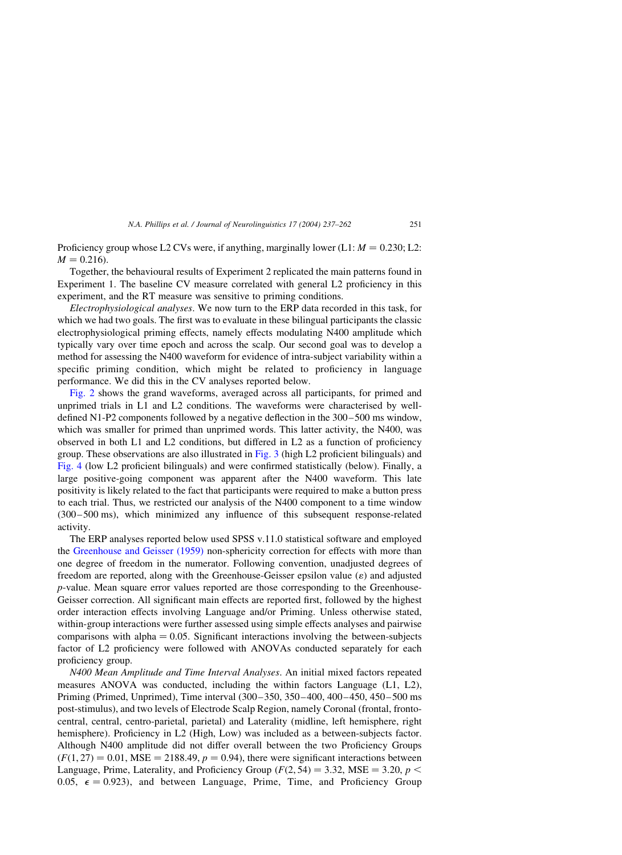Proficiency group whose L2 CVs were, if anything, marginally lower (L1:  $M = 0.230$ ; L2:  $M = 0.216$ .

Together, the behavioural results of Experiment 2 replicated the main patterns found in Experiment 1. The baseline CV measure correlated with general L2 proficiency in this experiment, and the RT measure was sensitive to priming conditions.

Electrophysiological analyses. We now turn to the ERP data recorded in this task, for which we had two goals. The first was to evaluate in these bilingual participants the classic electrophysiological priming effects, namely effects modulating N400 amplitude which typically vary over time epoch and across the scalp. Our second goal was to develop a method for assessing the N400 waveform for evidence of intra-subject variability within a specific priming condition, which might be related to proficiency in language performance. We did this in the CV analyses reported below.

[Fig. 2](#page-15-0) shows the grand waveforms, averaged across all participants, for primed and unprimed trials in L1 and L2 conditions. The waveforms were characterised by welldefined N1-P2 components followed by a negative deflection in the 300–500 ms window, which was smaller for primed than unprimed words. This latter activity, the N400, was observed in both L1 and L2 conditions, but differed in L2 as a function of proficiency group. These observations are also illustrated in [Fig. 3](#page-16-0) (high L2 proficient bilinguals) and [Fig. 4](#page-17-0) (low L2 proficient bilinguals) and were confirmed statistically (below). Finally, a large positive-going component was apparent after the N400 waveform. This late positivity is likely related to the fact that participants were required to make a button press to each trial. Thus, we restricted our analysis of the N400 component to a time window (300–500 ms), which minimized any influence of this subsequent response-related activity.

The ERP analyses reported below used SPSS v.11.0 statistical software and employed the [Greenhouse and Geisser \(1959\)](#page-23-0) non-sphericity correction for effects with more than one degree of freedom in the numerator. Following convention, unadjusted degrees of freedom are reported, along with the Greenhouse-Geisser epsilon value  $(\epsilon)$  and adjusted p-value. Mean square error values reported are those corresponding to the Greenhouse-Geisser correction. All significant main effects are reported first, followed by the highest order interaction effects involving Language and/or Priming. Unless otherwise stated, within-group interactions were further assessed using simple effects analyses and pairwise comparisons with alpha  $= 0.05$ . Significant interactions involving the between-subjects factor of L2 proficiency were followed with ANOVAs conducted separately for each proficiency group.

N400 Mean Amplitude and Time Interval Analyses. An initial mixed factors repeated measures ANOVA was conducted, including the within factors Language (L1, L2), Priming (Primed, Unprimed), Time interval (300–350, 350–400, 400–450, 450–500 ms post-stimulus), and two levels of Electrode Scalp Region, namely Coronal (frontal, frontocentral, central, centro-parietal, parietal) and Laterality (midline, left hemisphere, right hemisphere). Proficiency in L2 (High, Low) was included as a between-subjects factor. Although N400 amplitude did not differ overall between the two Proficiency Groups  $(F(1, 27) = 0.01$ , MSE = 2188.49,  $p = 0.94$ ), there were significant interactions between Language, Prime, Laterality, and Proficiency Group ( $F(2, 54) = 3.32$ , MSE = 3.20, p < 0.05,  $\epsilon$  = 0.923), and between Language, Prime, Time, and Proficiency Group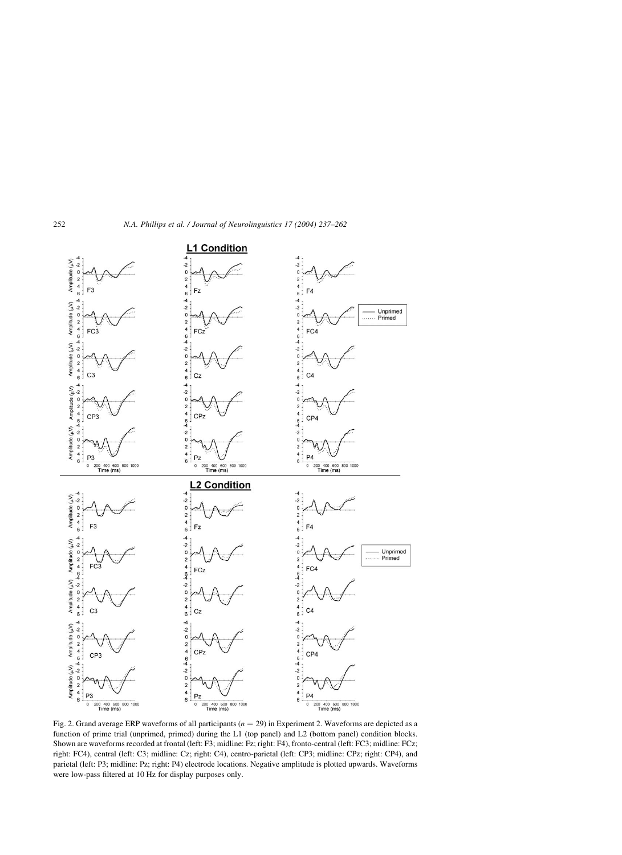<span id="page-15-0"></span>

Fig. 2. Grand average ERP waveforms of all participants  $(n = 29)$  in Experiment 2. Waveforms are depicted as a function of prime trial (unprimed, primed) during the L1 (top panel) and L2 (bottom panel) condition blocks. Shown are waveforms recorded at frontal (left: F3; midline: Fz; right: F4), fronto-central (left: FC3; midline: FCz; right: FC4), central (left: C3; midline: Cz; right: C4), centro-parietal (left: CP3; midline: CPz; right: CP4), and parietal (left: P3; midline: Pz; right: P4) electrode locations. Negative amplitude is plotted upwards. Waveforms were low-pass filtered at 10 Hz for display purposes only.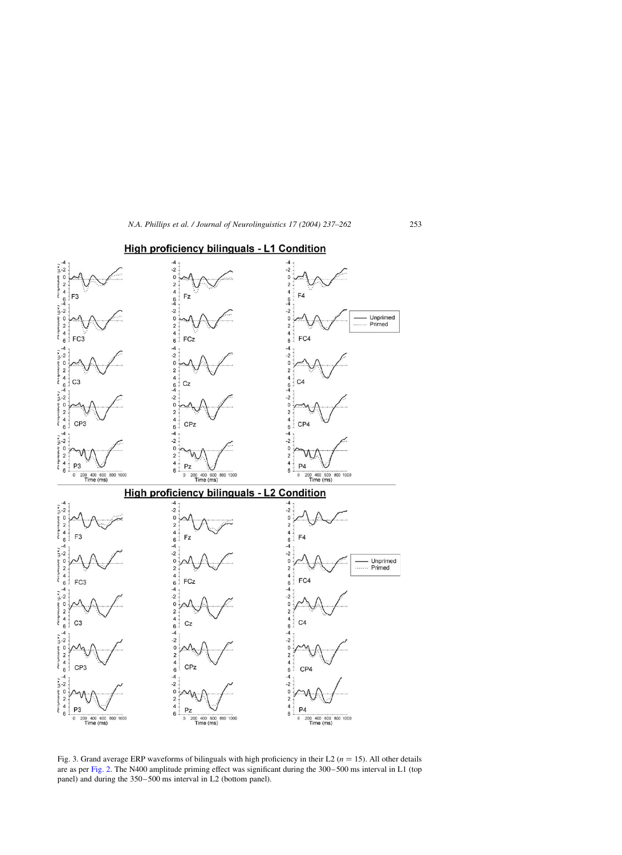

<span id="page-16-0"></span>

Fig. 3. Grand average ERP waveforms of bilinguals with high proficiency in their L2  $(n = 15)$ . All other details are as per [Fig. 2.](#page-15-0) The N400 amplitude priming effect was significant during the 300–500 ms interval in L1 (top panel) and during the 350–500 ms interval in L2 (bottom panel).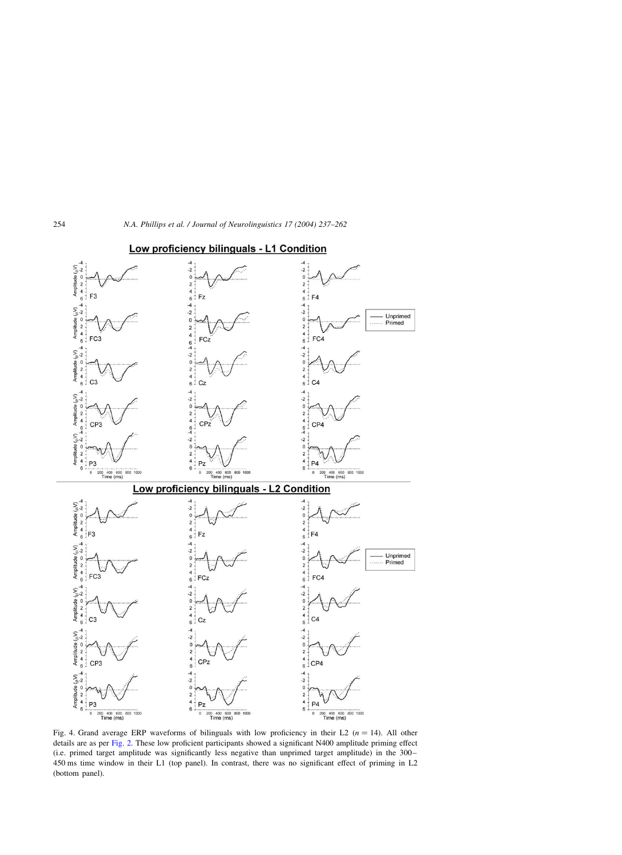<span id="page-17-0"></span>



Fig. 4. Grand average ERP waveforms of bilinguals with low proficiency in their L2  $(n = 14)$ . All other details are as per [Fig. 2](#page-15-0). These low proficient participants showed a significant N400 amplitude priming effect (i.e. primed target amplitude was significantly less negative than unprimed target amplitude) in the 300– 450 ms time window in their L1 (top panel). In contrast, there was no significant effect of priming in L2 (bottom panel).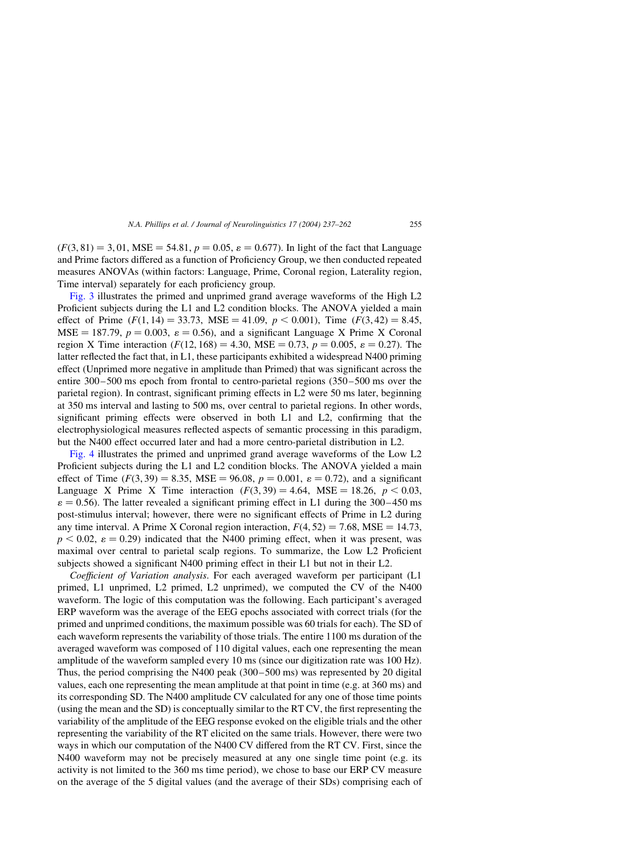$(F(3, 81) = 3, 01, \text{MSE} = 54.81, p = 0.05, \varepsilon = 0.677$ . In light of the fact that Language and Prime factors differed as a function of Proficiency Group, we then conducted repeated measures ANOVAs (within factors: Language, Prime, Coronal region, Laterality region, Time interval) separately for each proficiency group.

[Fig. 3](#page-16-0) illustrates the primed and unprimed grand average waveforms of the High L2 Proficient subjects during the L1 and L2 condition blocks. The ANOVA yielded a main effect of Prime  $(F(1, 14) = 33.73$ , MSE = 41.09,  $p < 0.001$ ), Time  $(F(3, 42) = 8.45$ ,  $MSE = 187.79$ ,  $p = 0.003$ ,  $\varepsilon = 0.56$ ), and a significant Language X Prime X Coronal region X Time interaction ( $F(12, 168) = 4.30$ , MSE = 0.73,  $p = 0.005$ ,  $\varepsilon = 0.27$ ). The latter reflected the fact that, in L1, these participants exhibited a widespread N400 priming effect (Unprimed more negative in amplitude than Primed) that was significant across the entire 300–500 ms epoch from frontal to centro-parietal regions (350–500 ms over the parietal region). In contrast, significant priming effects in L2 were 50 ms later, beginning at 350 ms interval and lasting to 500 ms, over central to parietal regions. In other words, significant priming effects were observed in both L1 and L2, confirming that the electrophysiological measures reflected aspects of semantic processing in this paradigm, but the N400 effect occurred later and had a more centro-parietal distribution in L2.

[Fig. 4](#page-17-0) illustrates the primed and unprimed grand average waveforms of the Low L2 Proficient subjects during the L1 and L2 condition blocks. The ANOVA yielded a main effect of Time (F(3,39) = 8.35, MSE = 96.08,  $p = 0.001$ ,  $\varepsilon = 0.72$ ), and a significant Language X Prime X Time interaction  $(F(3, 39) = 4.64, \text{MSE} = 18.26, p < 0.03,$  $\epsilon = 0.56$ ). The latter revealed a significant priming effect in L1 during the 300–450 ms post-stimulus interval; however, there were no significant effects of Prime in L2 during any time interval. A Prime X Coronal region interaction,  $F(4, 52) = 7.68$ , MSE = 14.73,  $p < 0.02$ ,  $\varepsilon = 0.29$ ) indicated that the N400 priming effect, when it was present, was maximal over central to parietal scalp regions. To summarize, the Low L2 Proficient subjects showed a significant N400 priming effect in their L1 but not in their L2.

Coefficient of Variation analysis. For each averaged waveform per participant (L1 primed, L1 unprimed, L2 primed, L2 unprimed), we computed the CV of the N400 waveform. The logic of this computation was the following. Each participant's averaged ERP waveform was the average of the EEG epochs associated with correct trials (for the primed and unprimed conditions, the maximum possible was 60 trials for each). The SD of each waveform represents the variability of those trials. The entire 1100 ms duration of the averaged waveform was composed of 110 digital values, each one representing the mean amplitude of the waveform sampled every 10 ms (since our digitization rate was 100 Hz). Thus, the period comprising the N400 peak (300–500 ms) was represented by 20 digital values, each one representing the mean amplitude at that point in time (e.g. at 360 ms) and its corresponding SD. The N400 amplitude CV calculated for any one of those time points (using the mean and the SD) is conceptually similar to the RT CV, the first representing the variability of the amplitude of the EEG response evoked on the eligible trials and the other representing the variability of the RT elicited on the same trials. However, there were two ways in which our computation of the N400 CV differed from the RT CV. First, since the N400 waveform may not be precisely measured at any one single time point (e.g. its activity is not limited to the 360 ms time period), we chose to base our ERP CV measure on the average of the 5 digital values (and the average of their SDs) comprising each of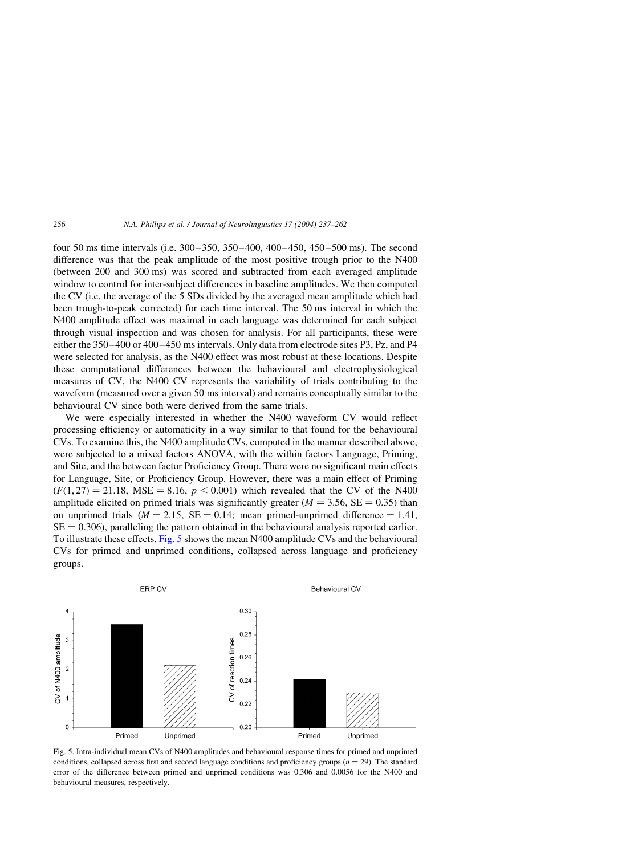four 50 ms time intervals (i.e. 300–350, 350–400, 400–450, 450–500 ms). The second difference was that the peak amplitude of the most positive trough prior to the N400 (between 200 and 300 ms) was scored and subtracted from each averaged amplitude window to control for inter-subject differences in baseline amplitudes. We then computed the CV (i.e. the average of the 5 SDs divided by the averaged mean amplitude which had been trough-to-peak corrected) for each time interval. The 50 ms interval in which the N400 amplitude effect was maximal in each language was determined for each subject through visual inspection and was chosen for analysis. For all participants, these were either the 350–400 or 400–450 ms intervals. Only data from electrode sites P3, Pz, and P4 were selected for analysis, as the N400 effect was most robust at these locations. Despite these computational differences between the behavioural and electrophysiological measures of CV, the N400 CV represents the variability of trials contributing to the waveform (measured over a given 50 ms interval) and remains conceptually similar to the behavioural CV since both were derived from the same trials.

We were especially interested in whether the N400 waveform CV would reflect processing efficiency or automaticity in a way similar to that found for the behavioural CVs. To examine this, the N400 amplitude CVs, computed in the manner described above, were subjected to a mixed factors ANOVA, with the within factors Language, Priming, and Site, and the between factor Proficiency Group. There were no significant main effects for Language, Site, or Proficiency Group. However, there was a main effect of Priming  $(F(1, 27) = 21.18$ , MSE = 8.16,  $p < 0.001$ ) which revealed that the CV of the N400 amplitude elicited on primed trials was significantly greater ( $M = 3.56$ ,  $SE = 0.35$ ) than on unprimed trials  $(M = 2.15, SE = 0.14;$  mean primed-unprimed difference = 1.41,  $SE = 0.306$ , paralleling the pattern obtained in the behavioural analysis reported earlier. To illustrate these effects, Fig. 5 shows the mean N400 amplitude CVs and the behavioural CVs for primed and unprimed conditions, collapsed across language and proficiency groups.



Fig. 5. Intra-individual mean CVs of N400 amplitudes and behavioural response times for primed and unprimed conditions, collapsed across first and second language conditions and proficiency groups  $(n = 29)$ . The standard error of the difference between primed and unprimed conditions was 0.306 and 0.0056 for the N400 and behavioural measures, respectively.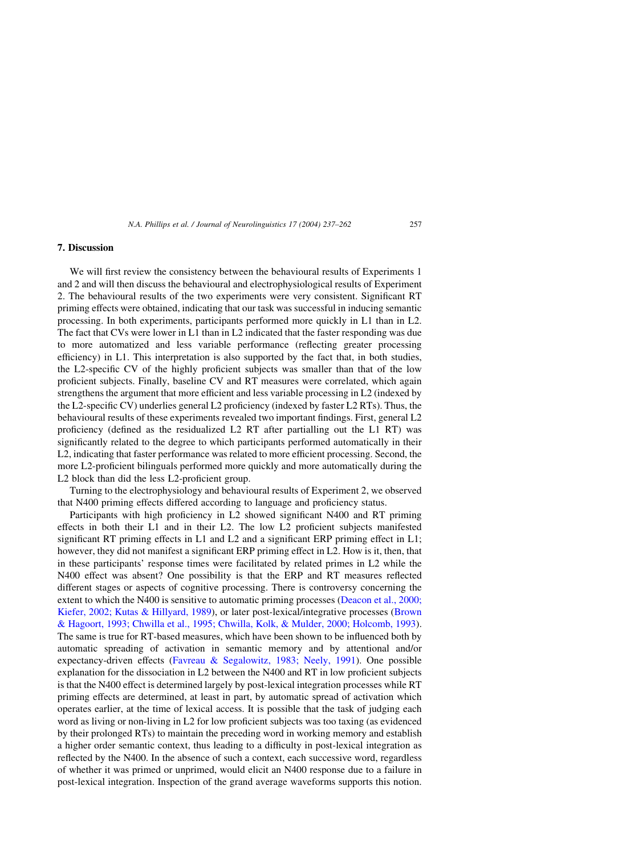#### 7. Discussion

We will first review the consistency between the behavioural results of Experiments 1 and 2 and will then discuss the behavioural and electrophysiological results of Experiment 2. The behavioural results of the two experiments were very consistent. Significant RT priming effects were obtained, indicating that our task was successful in inducing semantic processing. In both experiments, participants performed more quickly in L1 than in L2. The fact that CVs were lower in L1 than in L2 indicated that the faster responding was due to more automatized and less variable performance (reflecting greater processing efficiency) in L1. This interpretation is also supported by the fact that, in both studies, the L2-specific CV of the highly proficient subjects was smaller than that of the low proficient subjects. Finally, baseline CV and RT measures were correlated, which again strengthens the argument that more efficient and less variable processing in L2 (indexed by the L2-specific CV) underlies general L2 proficiency (indexed by faster L2 RTs). Thus, the behavioural results of these experiments revealed two important findings. First, general L2 proficiency (defined as the residualized L2 RT after partialling out the L1 RT) was significantly related to the degree to which participants performed automatically in their L2, indicating that faster performance was related to more efficient processing. Second, the more L2-proficient bilinguals performed more quickly and more automatically during the L2 block than did the less L2-proficient group.

Turning to the electrophysiology and behavioural results of Experiment 2, we observed that N400 priming effects differed according to language and proficiency status.

Participants with high proficiency in L2 showed significant N400 and RT priming effects in both their L1 and in their L2. The low L2 proficient subjects manifested significant RT priming effects in L1 and L2 and a significant ERP priming effect in L1; however, they did not manifest a significant ERP priming effect in L2. How is it, then, that in these participants' response times were facilitated by related primes in L2 while the N400 effect was absent? One possibility is that the ERP and RT measures reflected different stages or aspects of cognitive processing. There is controversy concerning the extent to which the N400 is sensitive to automatic priming processes ([Deacon et al., 2000;](#page-23-0) [Kiefer, 2002; Kutas & Hillyard, 1989](#page-23-0)), or later post-lexical/integrative processes [\(Brown](#page-23-0) [& Hagoort, 1993; Chwilla et al., 1995; Chwilla, Kolk, & Mulder, 2000; Holcomb, 1993\)](#page-23-0). The same is true for RT-based measures, which have been shown to be influenced both by automatic spreading of activation in semantic memory and by attentional and/or expectancy-driven effects ([Favreau & Segalowitz, 1983; Neely, 1991](#page-23-0)). One possible explanation for the dissociation in L2 between the N400 and RT in low proficient subjects is that the N400 effect is determined largely by post-lexical integration processes while RT priming effects are determined, at least in part, by automatic spread of activation which operates earlier, at the time of lexical access. It is possible that the task of judging each word as living or non-living in L2 for low proficient subjects was too taxing (as evidenced by their prolonged RTs) to maintain the preceding word in working memory and establish a higher order semantic context, thus leading to a difficulty in post-lexical integration as reflected by the N400. In the absence of such a context, each successive word, regardless of whether it was primed or unprimed, would elicit an N400 response due to a failure in post-lexical integration. Inspection of the grand average waveforms supports this notion.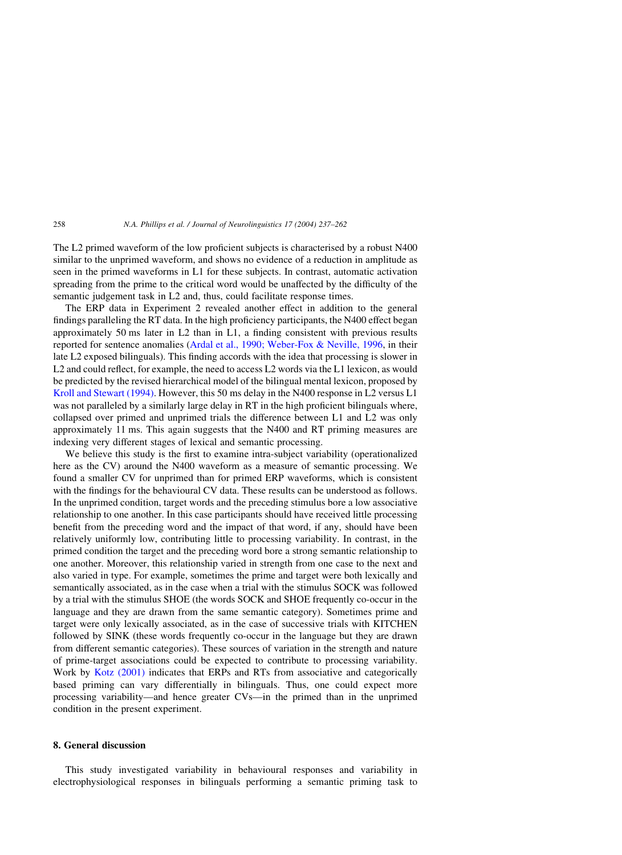The L2 primed waveform of the low proficient subjects is characterised by a robust N400 similar to the unprimed waveform, and shows no evidence of a reduction in amplitude as seen in the primed waveforms in L1 for these subjects. In contrast, automatic activation spreading from the prime to the critical word would be unaffected by the difficulty of the semantic judgement task in L2 and, thus, could facilitate response times.

The ERP data in Experiment 2 revealed another effect in addition to the general findings paralleling the RT data. In the high proficiency participants, the N400 effect began approximately 50 ms later in L2 than in L1, a finding consistent with previous results reported for sentence anomalies [\(Ardal et al., 1990; Weber-Fox & Neville, 1996,](#page-23-0) in their late L2 exposed bilinguals). This finding accords with the idea that processing is slower in L2 and could reflect, for example, the need to access L2 words via the L1 lexicon, as would be predicted by the revised hierarchical model of the bilingual mental lexicon, proposed by [Kroll and Stewart \(1994\)](#page-24-0). However, this 50 ms delay in the N400 response in L2 versus L1 was not paralleled by a similarly large delay in RT in the high proficient bilinguals where, collapsed over primed and unprimed trials the difference between L1 and L2 was only approximately 11 ms. This again suggests that the N400 and RT priming measures are indexing very different stages of lexical and semantic processing.

We believe this study is the first to examine intra-subject variability (operationalized here as the CV) around the N400 waveform as a measure of semantic processing. We found a smaller CV for unprimed than for primed ERP waveforms, which is consistent with the findings for the behavioural CV data. These results can be understood as follows. In the unprimed condition, target words and the preceding stimulus bore a low associative relationship to one another. In this case participants should have received little processing benefit from the preceding word and the impact of that word, if any, should have been relatively uniformly low, contributing little to processing variability. In contrast, in the primed condition the target and the preceding word bore a strong semantic relationship to one another. Moreover, this relationship varied in strength from one case to the next and also varied in type. For example, sometimes the prime and target were both lexically and semantically associated, as in the case when a trial with the stimulus SOCK was followed by a trial with the stimulus SHOE (the words SOCK and SHOE frequently co-occur in the language and they are drawn from the same semantic category). Sometimes prime and target were only lexically associated, as in the case of successive trials with KITCHEN followed by SINK (these words frequently co-occur in the language but they are drawn from different semantic categories). These sources of variation in the strength and nature of prime-target associations could be expected to contribute to processing variability. Work by [Kotz \(2001\)](#page-24-0) indicates that ERPs and RTs from associative and categorically based priming can vary differentially in bilinguals. Thus, one could expect more processing variability—and hence greater CVs—in the primed than in the unprimed condition in the present experiment.

#### 8. General discussion

This study investigated variability in behavioural responses and variability in electrophysiological responses in bilinguals performing a semantic priming task to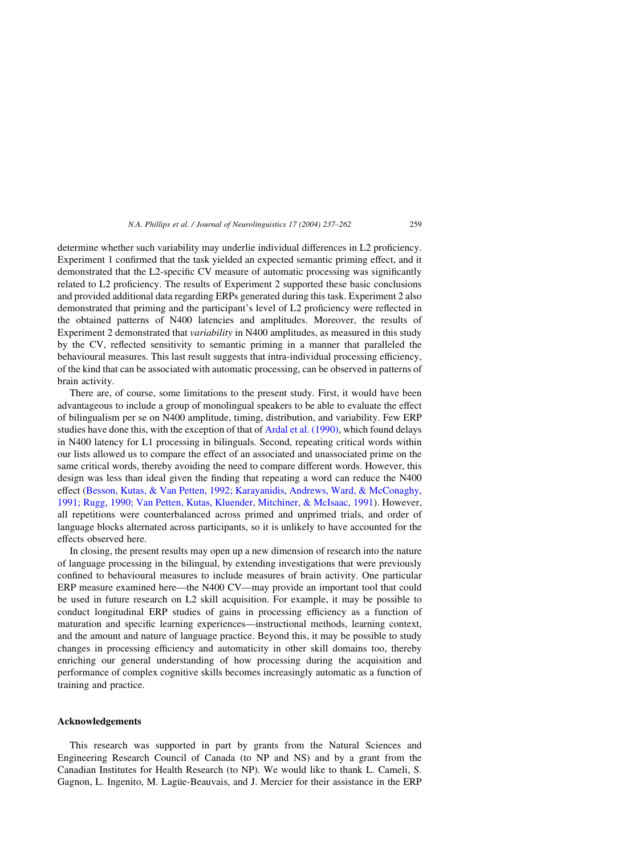determine whether such variability may underlie individual differences in L2 proficiency. Experiment 1 confirmed that the task yielded an expected semantic priming effect, and it demonstrated that the L2-specific CV measure of automatic processing was significantly related to L2 proficiency. The results of Experiment 2 supported these basic conclusions and provided additional data regarding ERPs generated during this task. Experiment 2 also demonstrated that priming and the participant's level of L2 proficiency were reflected in the obtained patterns of N400 latencies and amplitudes. Moreover, the results of Experiment 2 demonstrated that variability in N400 amplitudes, as measured in this study by the CV, reflected sensitivity to semantic priming in a manner that paralleled the behavioural measures. This last result suggests that intra-individual processing efficiency, of the kind that can be associated with automatic processing, can be observed in patterns of brain activity.

There are, of course, some limitations to the present study. First, it would have been advantageous to include a group of monolingual speakers to be able to evaluate the effect of bilingualism per se on N400 amplitude, timing, distribution, and variability. Few ERP studies have done this, with the exception of that of [Ardal et al. \(1990\)](#page-23-0), which found delays in N400 latency for L1 processing in bilinguals. Second, repeating critical words within our lists allowed us to compare the effect of an associated and unassociated prime on the same critical words, thereby avoiding the need to compare different words. However, this design was less than ideal given the finding that repeating a word can reduce the N400 effect ([Besson, Kutas, & Van Petten, 1992; Karayanidis, Andrews, Ward, & McConaghy,](#page-23-0) [1991; Rugg, 1990; Van Petten, Kutas, Kluender, Mitchiner, & McIsaac, 1991\)](#page-23-0). However, all repetitions were counterbalanced across primed and unprimed trials, and order of language blocks alternated across participants, so it is unlikely to have accounted for the effects observed here.

In closing, the present results may open up a new dimension of research into the nature of language processing in the bilingual, by extending investigations that were previously confined to behavioural measures to include measures of brain activity. One particular ERP measure examined here—the N400 CV—may provide an important tool that could be used in future research on L2 skill acquisition. For example, it may be possible to conduct longitudinal ERP studies of gains in processing efficiency as a function of maturation and specific learning experiences—instructional methods, learning context, and the amount and nature of language practice. Beyond this, it may be possible to study changes in processing efficiency and automaticity in other skill domains too, thereby enriching our general understanding of how processing during the acquisition and performance of complex cognitive skills becomes increasingly automatic as a function of training and practice.

## Acknowledgements

This research was supported in part by grants from the Natural Sciences and Engineering Research Council of Canada (to NP and NS) and by a grant from the Canadian Institutes for Health Research (to NP). We would like to thank L. Cameli, S. Gagnon, L. Ingenito, M. Lagüe-Beauvais, and J. Mercier for their assistance in the ERP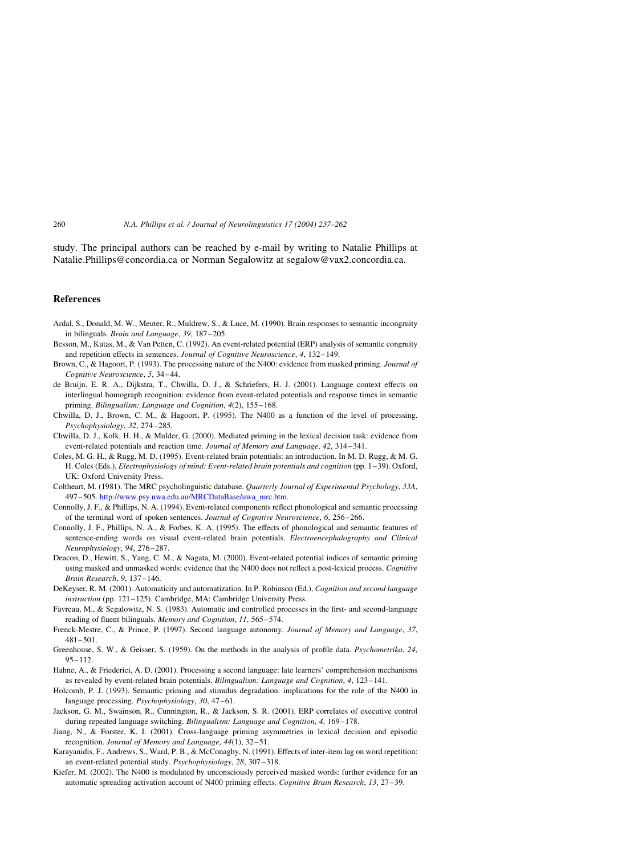study. The principal authors can be reached by e-mail by writing to Natalie Phillips at Natalie.Phillips@concordia.ca or Norman Segalowitz at segalow@vax2.concordia.ca.

#### References

- Ardal, S., Donald, M. W., Meuter, R., Muldrew, S., & Luce, M. (1990). Brain responses to semantic incongruity in bilinguals. Brain and Language, 39, 187–205.
- Besson, M., Kutas, M., & Van Petten, C. (1992). An event-related potential (ERP) analysis of semantic congruity and repetition effects in sentences. Journal of Cognitive Neuroscience, 4, 132–149.
- Brown, C., & Hagoort, P. (1993). The processing nature of the N400: evidence from masked priming. Journal of Cognitive Neuroscience, 5, 34–44.
- de Bruijn, E. R. A., Dijkstra, T., Chwilla, D. J., & Schriefers, H. J. (2001). Language context effects on interlingual homograph recognition: evidence from event-related potentials and response times in semantic priming. Bilingualism: Language and Cognition, 4(2), 155–168.
- Chwilla, D. J., Brown, C. M., & Hagoort, P. (1995). The N400 as a function of the level of processing. Psychophysiology, 32, 274–285.
- Chwilla, D. J., Kolk, H. H., & Mulder, G. (2000). Mediated priming in the lexical decision task: evidence from event-related potentials and reaction time. Journal of Memory and Language, 42, 314–341.
- Coles, M. G. H., & Rugg, M. D. (1995). Event-related brain potentials: an introduction. In M. D. Rugg, & M. G. H. Coles (Eds.), Electrophysiology of mind: Event-related brain potentials and cognition (pp. 1–39). Oxford, UK: Oxford University Press.
- Coltheart, M. (1981). The MRC psycholinguistic database. Quarterly Journal of Experimental Psychology, 33A, 497–505. [http://www.psy.uwa.edu.au/MRCDataBase/uwa\\_mrc.htm](http://www.psy.uwa.edu.au/MRCDataBase/uwa_mrc.htm).
- Connolly, J. F., & Phillips, N. A. (1994). Event-related components reflect phonological and semantic processing of the terminal word of spoken sentences. Journal of Cognitive Neuroscience, 6, 256–266.
- Connolly, J. F., Phillips, N. A., & Forbes, K. A. (1995). The effects of phonological and semantic features of sentence-ending words on visual event-related brain potentials. Electroencephalography and Clinical Neurophysiology, 94, 276–287.
- Deacon, D., Hewitt, S., Yang, C. M., & Nagata, M. (2000). Event-related potential indices of semantic priming using masked and unmasked words: evidence that the N400 does not reflect a post-lexical process. Cognitive Brain Research, 9, 137–146.
- DeKeyser, R. M. (2001). Automaticity and automatization. In P. Robinson (Ed.), Cognition and second language instruction (pp. 121–125). Cambridge, MA: Cambridge University Press.
- Favreau, M., & Segalowitz, N. S. (1983). Automatic and controlled processes in the first- and second-language reading of fluent bilinguals. Memory and Cognition, 11, 565–574.
- Frenck-Mestre, C., & Prince, P. (1997). Second language autonomy. Journal of Memory and Language, 37, 481–501.
- Greenhouse, S. W., & Geisser, S. (1959). On the methods in the analysis of profile data. Psychometrika, 24, 95–112.
- Hahne, A., & Friederici, A. D. (2001). Processing a second language: late learners' comprehension mechanisms as revealed by event-related brain potentials. Bilingualism: Language and Cognition, 4, 123–141.
- Holcomb, P. J. (1993). Semantic priming and stimulus degradation: implications for the role of the N400 in language processing. Psychophysiology, 30, 47–61.
- Jackson, G. M., Swainson, R., Cunnington, R., & Jackson, S. R. (2001). ERP correlates of executive control during repeated language switching. Bilingualism: Language and Cognition, 4, 169–178.
- Jiang, N., & Forster, K. I. (2001). Cross-language priming asymmetries in lexical decision and episodic recognition. Journal of Memory and Language, 44(1), 32–51.
- Karayanidis, F., Andrews, S., Ward, P. B., & McConaghy, N. (1991). Effects of inter-item lag on word repetition: an event-related potential study. Psychophysiology, 28, 307–318.
- Kiefer, M. (2002). The N400 is modulated by unconsciously perceived masked words: further evidence for an automatic spreading activation account of N400 priming effects. Cognitive Brain Research, 13, 27–39.

<span id="page-23-0"></span>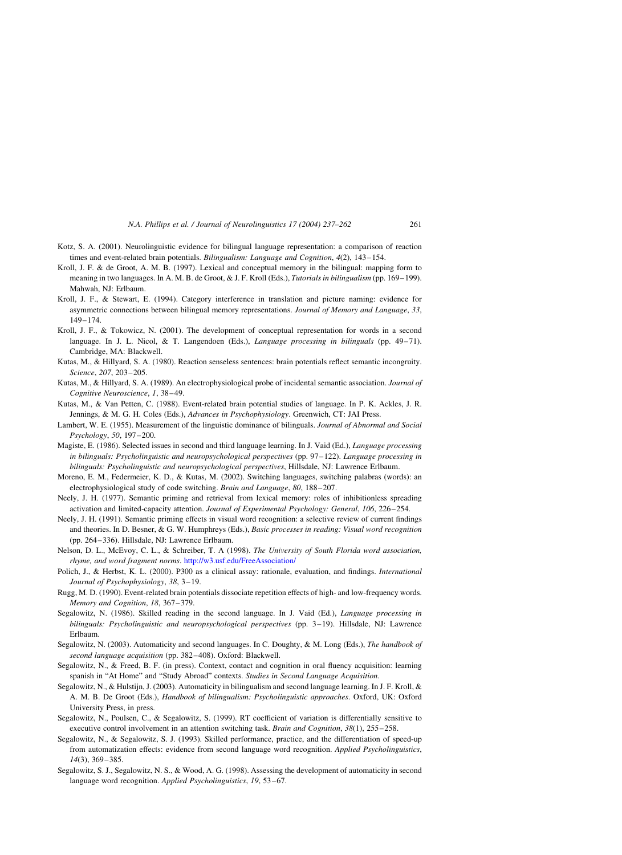- <span id="page-24-0"></span>Kotz, S. A. (2001). Neurolinguistic evidence for bilingual language representation: a comparison of reaction times and event-related brain potentials. Bilingualism: Language and Cognition, 4(2), 143–154.
- Kroll, J. F. & de Groot, A. M. B. (1997). Lexical and conceptual memory in the bilingual: mapping form to meaning in two languages. In A. M. B. de Groot, & J. F. Kroll (Eds.), Tutorials in bilingualism (pp. 169–199). Mahwah, NJ: Erlbaum.
- Kroll, J. F., & Stewart, E. (1994). Category interference in translation and picture naming: evidence for asymmetric connections between bilingual memory representations. Journal of Memory and Language, 33, 149–174.
- Kroll, J. F., & Tokowicz, N. (2001). The development of conceptual representation for words in a second language. In J. L. Nicol, & T. Langendoen (Eds.), Language processing in bilinguals (pp. 49-71). Cambridge, MA: Blackwell.
- Kutas, M., & Hillyard, S. A. (1980). Reaction senseless sentences: brain potentials reflect semantic incongruity. Science, 207, 203–205.
- Kutas, M., & Hillyard, S. A. (1989). An electrophysiological probe of incidental semantic association. Journal of Cognitive Neuroscience, 1, 38–49.
- Kutas, M., & Van Petten, C. (1988). Event-related brain potential studies of language. In P. K. Ackles, J. R. Jennings, & M. G. H. Coles (Eds.), Advances in Psychophysiology. Greenwich, CT: JAI Press.
- Lambert, W. E. (1955). Measurement of the linguistic dominance of bilinguals. *Journal of Abnormal and Social* Psychology, 50, 197–200.
- Magiste, E. (1986). Selected issues in second and third language learning. In J. Vaid (Ed.), Language processing in bilinguals: Psycholinguistic and neuropsychological perspectives (pp. 97–122). Language processing in bilinguals: Psycholinguistic and neuropsychological perspectives, Hillsdale, NJ: Lawrence Erlbaum.
- Moreno, E. M., Federmeier, K. D., & Kutas, M. (2002). Switching languages, switching palabras (words): an electrophysiological study of code switching. Brain and Language, 80, 188–207.
- Neely, J. H. (1977). Semantic priming and retrieval from lexical memory: roles of inhibitionless spreading activation and limited-capacity attention. Journal of Experimental Psychology: General, 106, 226–254.
- Neely, J. H. (1991). Semantic priming effects in visual word recognition: a selective review of current findings and theories. In D. Besner, & G. W. Humphreys (Eds.), Basic processes in reading: Visual word recognition (pp. 264–336). Hillsdale, NJ: Lawrence Erlbaum.
- Nelson, D. L., McEvoy, C. L., & Schreiber, T. A (1998). The University of South Florida word association, rhyme, and word fragment norms. <http://w3.usf.edu/FreeAssociation/>
- Polich, J., & Herbst, K. L. (2000). P300 as a clinical assay: rationale, evaluation, and findings. International Journal of Psychophysiology, 38, 3–19.
- Rugg, M. D. (1990). Event-related brain potentials dissociate repetition effects of high- and low-frequency words. Memory and Cognition, 18, 367–379.
- Segalowitz, N. (1986). Skilled reading in the second language. In J. Vaid (Ed.), *Language processing in* bilinguals: Psycholinguistic and neuropsychological perspectives (pp. 3-19). Hillsdale, NJ: Lawrence Erlbaum.
- Segalowitz, N. (2003). Automaticity and second languages. In C. Doughty, & M. Long (Eds.), The handbook of second language acquisition (pp. 382–408). Oxford: Blackwell.
- Segalowitz, N., & Freed, B. F. (in press). Context, contact and cognition in oral fluency acquisition: learning spanish in "At Home" and "Study Abroad" contexts. Studies in Second Language Acquisition.
- Segalowitz, N., & Hulstijn, J. (2003). Automaticity in bilingualism and second language learning. In J. F. Kroll, & A. M. B. De Groot (Eds.), Handbook of bilingualism: Psycholinguistic approaches. Oxford, UK: Oxford University Press, in press.
- Segalowitz, N., Poulsen, C., & Segalowitz, S. (1999). RT coefficient of variation is differentially sensitive to executive control involvement in an attention switching task. Brain and Cognition, 38(1), 255–258.
- Segalowitz, N., & Segalowitz, S. J. (1993). Skilled performance, practice, and the differentiation of speed-up from automatization effects: evidence from second language word recognition. Applied Psycholinguistics, 14(3), 369–385.
- Segalowitz, S. J., Segalowitz, N. S., & Wood, A. G. (1998). Assessing the development of automaticity in second language word recognition. Applied Psycholinguistics, 19, 53-67.